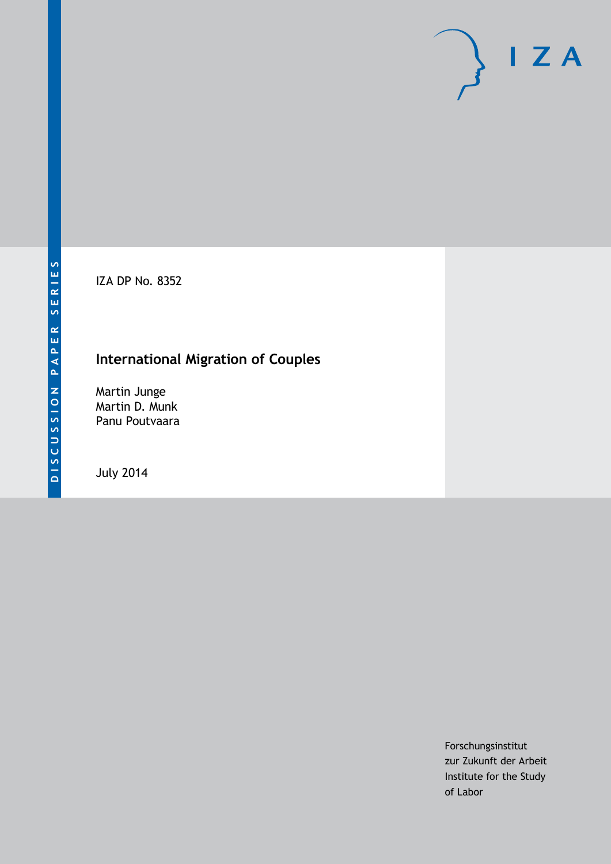IZA DP No. 8352

# **International Migration of Couples**

Martin Junge Martin D. Munk Panu Poutvaara

July 2014

Forschungsinstitut zur Zukunft der Arbeit Institute for the Study of Labor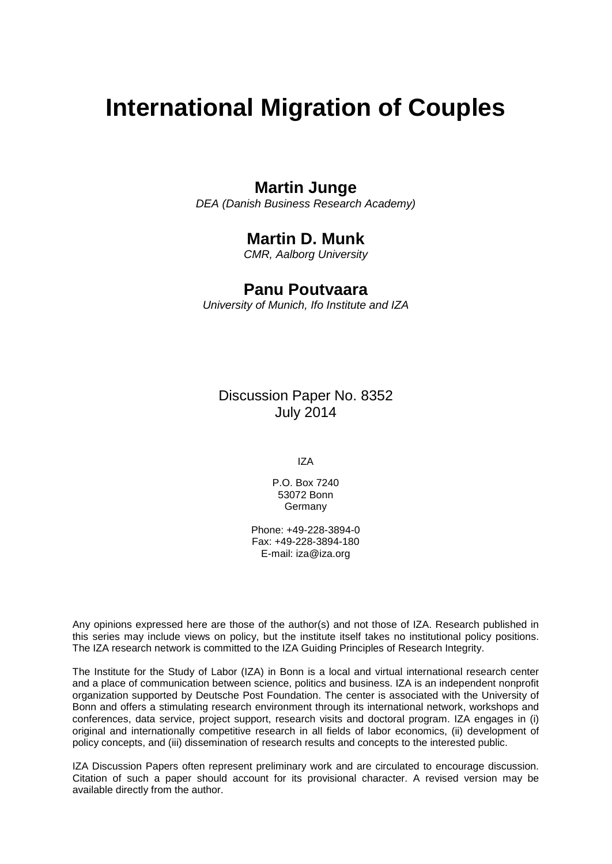# **International Migration of Couples**

## **Martin Junge**

*DEA (Danish Business Research Academy)*

## **Martin D. Munk**

*CMR, Aalborg University*

### **Panu Poutvaara**

*University of Munich, Ifo Institute and IZA*

Discussion Paper No. 8352 July 2014

IZA

P.O. Box 7240 53072 Bonn Germany

Phone: +49-228-3894-0 Fax: +49-228-3894-180 E-mail: [iza@iza.org](mailto:iza@iza.org)

Any opinions expressed here are those of the author(s) and not those of IZA. Research published in this series may include views on policy, but the institute itself takes no institutional policy positions. The IZA research network is committed to the IZA Guiding Principles of Research Integrity.

The Institute for the Study of Labor (IZA) in Bonn is a local and virtual international research center and a place of communication between science, politics and business. IZA is an independent nonprofit organization supported by Deutsche Post Foundation. The center is associated with the University of Bonn and offers a stimulating research environment through its international network, workshops and conferences, data service, project support, research visits and doctoral program. IZA engages in (i) original and internationally competitive research in all fields of labor economics, (ii) development of policy concepts, and (iii) dissemination of research results and concepts to the interested public.

IZA Discussion Papers often represent preliminary work and are circulated to encourage discussion. Citation of such a paper should account for its provisional character. A revised version may be available directly from the author.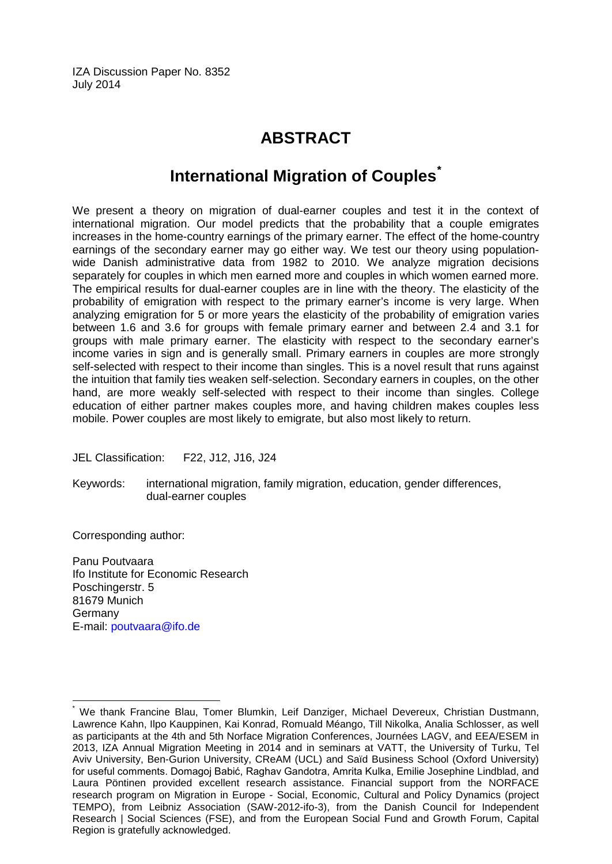IZA Discussion Paper No. 8352 July 2014

# **ABSTRACT**

# **International Migration of Couples[\\*](#page-2-0)**

We present a theory on migration of dual-earner couples and test it in the context of international migration. Our model predicts that the probability that a couple emigrates increases in the home-country earnings of the primary earner. The effect of the home-country earnings of the secondary earner may go either way. We test our theory using populationwide Danish administrative data from 1982 to 2010. We analyze migration decisions separately for couples in which men earned more and couples in which women earned more. The empirical results for dual-earner couples are in line with the theory. The elasticity of the probability of emigration with respect to the primary earner's income is very large. When analyzing emigration for 5 or more years the elasticity of the probability of emigration varies between 1.6 and 3.6 for groups with female primary earner and between 2.4 and 3.1 for groups with male primary earner. The elasticity with respect to the secondary earner's income varies in sign and is generally small. Primary earners in couples are more strongly self-selected with respect to their income than singles. This is a novel result that runs against the intuition that family ties weaken self-selection. Secondary earners in couples, on the other hand, are more weakly self-selected with respect to their income than singles. College education of either partner makes couples more, and having children makes couples less mobile. Power couples are most likely to emigrate, but also most likely to return.

JEL Classification: F22, J12, J16, J24

Keywords: international migration, family migration, education, gender differences, dual-earner couples

Corresponding author:

Panu Poutvaara Ifo Institute for Economic Research Poschingerstr. 5 81679 Munich Germany E-mail: [poutvaara@ifo.de](mailto:poutvaara@ifo.de)

<span id="page-2-0"></span>We thank Francine Blau, Tomer Blumkin, Leif Danziger, Michael Devereux, Christian Dustmann, Lawrence Kahn, Ilpo Kauppinen, Kai Konrad, Romuald Méango, Till Nikolka, Analia Schlosser, as well as participants at the 4th and 5th Norface Migration Conferences, Journées LAGV, and EEA/ESEM in 2013, IZA Annual Migration Meeting in 2014 and in seminars at VATT, the University of Turku, Tel Aviv University, Ben-Gurion University, CReAM (UCL) and Saïd Business School (Oxford University) for useful comments. Domagoj Babić, Raghav Gandotra, Amrita Kulka, Emilie Josephine Lindblad, and Laura Pöntinen provided excellent research assistance. Financial support from the NORFACE research program on Migration in Europe - Social, Economic, Cultural and Policy Dynamics (project TEMPO), from Leibniz Association (SAW-2012-ifo-3), from the Danish Council for Independent Research | Social Sciences (FSE), and from the European Social Fund and Growth Forum, Capital Region is gratefully acknowledged.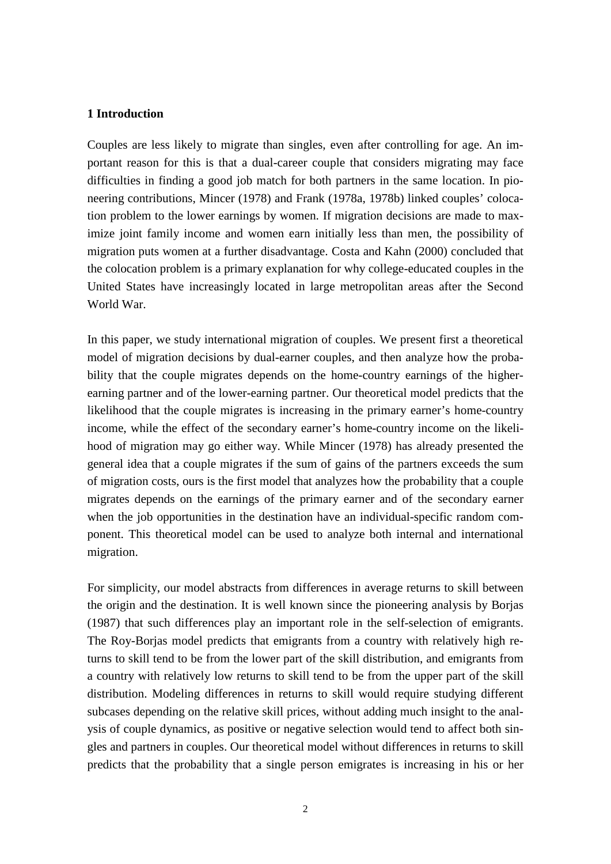#### **1 Introduction**

Couples are less likely to migrate than singles, even after controlling for age. An important reason for this is that a dual-career couple that considers migrating may face difficulties in finding a good job match for both partners in the same location. In pioneering contributions, Mincer (1978) and Frank (1978a, 1978b) linked couples' colocation problem to the lower earnings by women. If migration decisions are made to maximize joint family income and women earn initially less than men, the possibility of migration puts women at a further disadvantage. Costa and Kahn (2000) concluded that the colocation problem is a primary explanation for why college-educated couples in the United States have increasingly located in large metropolitan areas after the Second World War.

In this paper, we study international migration of couples. We present first a theoretical model of migration decisions by dual-earner couples, and then analyze how the probability that the couple migrates depends on the home-country earnings of the higherearning partner and of the lower-earning partner. Our theoretical model predicts that the likelihood that the couple migrates is increasing in the primary earner's home-country income, while the effect of the secondary earner's home-country income on the likelihood of migration may go either way. While Mincer (1978) has already presented the general idea that a couple migrates if the sum of gains of the partners exceeds the sum of migration costs, ours is the first model that analyzes how the probability that a couple migrates depends on the earnings of the primary earner and of the secondary earner when the job opportunities in the destination have an individual-specific random component. This theoretical model can be used to analyze both internal and international migration.

For simplicity, our model abstracts from differences in average returns to skill between the origin and the destination. It is well known since the pioneering analysis by Borjas (1987) that such differences play an important role in the self-selection of emigrants. The Roy-Borjas model predicts that emigrants from a country with relatively high returns to skill tend to be from the lower part of the skill distribution, and emigrants from a country with relatively low returns to skill tend to be from the upper part of the skill distribution. Modeling differences in returns to skill would require studying different subcases depending on the relative skill prices, without adding much insight to the analysis of couple dynamics, as positive or negative selection would tend to affect both singles and partners in couples. Our theoretical model without differences in returns to skill predicts that the probability that a single person emigrates is increasing in his or her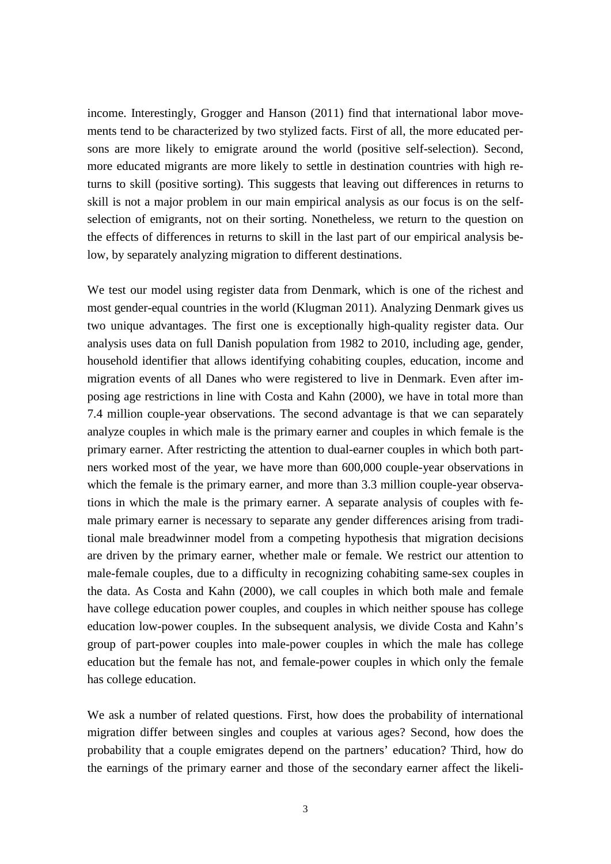income. Interestingly, Grogger and Hanson (2011) find that international labor movements tend to be characterized by two stylized facts. First of all, the more educated persons are more likely to emigrate around the world (positive self-selection). Second, more educated migrants are more likely to settle in destination countries with high returns to skill (positive sorting). This suggests that leaving out differences in returns to skill is not a major problem in our main empirical analysis as our focus is on the selfselection of emigrants, not on their sorting. Nonetheless, we return to the question on the effects of differences in returns to skill in the last part of our empirical analysis below, by separately analyzing migration to different destinations.

We test our model using register data from Denmark, which is one of the richest and most gender-equal countries in the world (Klugman 2011). Analyzing Denmark gives us two unique advantages. The first one is exceptionally high-quality register data. Our analysis uses data on full Danish population from 1982 to 2010, including age, gender, household identifier that allows identifying cohabiting couples, education, income and migration events of all Danes who were registered to live in Denmark. Even after imposing age restrictions in line with Costa and Kahn (2000), we have in total more than 7.4 million couple-year observations. The second advantage is that we can separately analyze couples in which male is the primary earner and couples in which female is the primary earner. After restricting the attention to dual-earner couples in which both partners worked most of the year, we have more than 600,000 couple-year observations in which the female is the primary earner, and more than 3.3 million couple-year observations in which the male is the primary earner. A separate analysis of couples with female primary earner is necessary to separate any gender differences arising from traditional male breadwinner model from a competing hypothesis that migration decisions are driven by the primary earner, whether male or female. We restrict our attention to male-female couples, due to a difficulty in recognizing cohabiting same-sex couples in the data. As Costa and Kahn (2000), we call couples in which both male and female have college education power couples, and couples in which neither spouse has college education low-power couples. In the subsequent analysis, we divide Costa and Kahn's group of part-power couples into male-power couples in which the male has college education but the female has not, and female-power couples in which only the female has college education.

We ask a number of related questions. First, how does the probability of international migration differ between singles and couples at various ages? Second, how does the probability that a couple emigrates depend on the partners' education? Third, how do the earnings of the primary earner and those of the secondary earner affect the likeli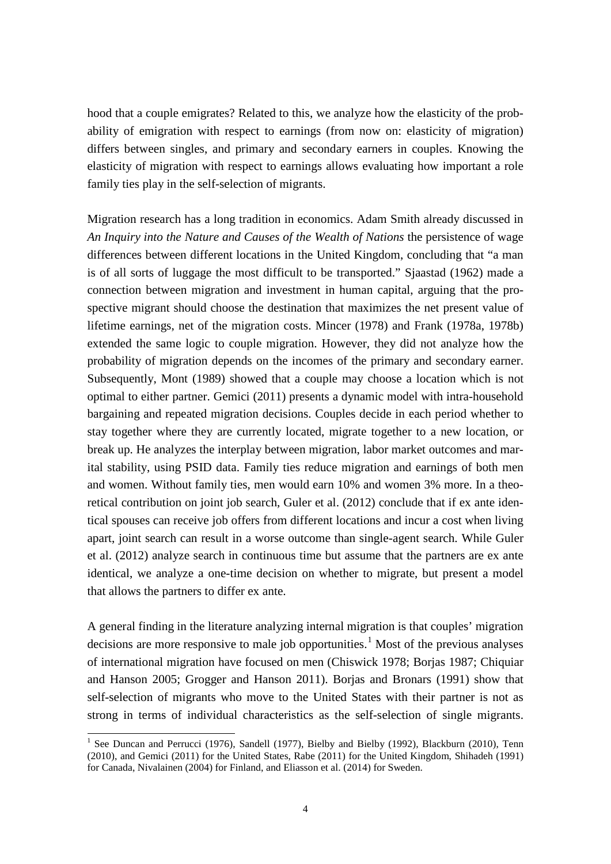hood that a couple emigrates? Related to this, we analyze how the elasticity of the probability of emigration with respect to earnings (from now on: elasticity of migration) differs between singles, and primary and secondary earners in couples. Knowing the elasticity of migration with respect to earnings allows evaluating how important a role family ties play in the self-selection of migrants.

Migration research has a long tradition in economics. Adam Smith already discussed in *An Inquiry into the Nature and Causes of the Wealth of Nations* the persistence of wage differences between different locations in the United Kingdom, concluding that "a man is of all sorts of luggage the most difficult to be transported." Sjaastad (1962) made a connection between migration and investment in human capital, arguing that the prospective migrant should choose the destination that maximizes the net present value of lifetime earnings, net of the migration costs. Mincer (1978) and Frank (1978a, 1978b) extended the same logic to couple migration. However, they did not analyze how the probability of migration depends on the incomes of the primary and secondary earner. Subsequently, Mont (1989) showed that a couple may choose a location which is not optimal to either partner. Gemici (2011) presents a dynamic model with intra-household bargaining and repeated migration decisions. Couples decide in each period whether to stay together where they are currently located, migrate together to a new location, or break up. He analyzes the interplay between migration, labor market outcomes and marital stability, using PSID data. Family ties reduce migration and earnings of both men and women. Without family ties, men would earn 10% and women 3% more. In a theoretical contribution on joint job search, Guler et al. (2012) conclude that if ex ante identical spouses can receive job offers from different locations and incur a cost when living apart, joint search can result in a worse outcome than single-agent search. While Guler et al. (2012) analyze search in continuous time but assume that the partners are ex ante identical, we analyze a one-time decision on whether to migrate, but present a model that allows the partners to differ ex ante.

A general finding in the literature analyzing internal migration is that couples' migration decisions are more responsive to male job opportunities.<sup>1</sup> Most of the previous analyses of international migration have focused on men (Chiswick 1978; Borjas 1987; Chiquiar and Hanson 2005; Grogger and Hanson 2011). Borjas and Bronars (1991) show that self-selection of migrants who move to the United States with their partner is not as strong in terms of individual characteristics as the self-selection of single migrants.

<span id="page-5-0"></span><sup>&</sup>lt;sup>1</sup> See Duncan and Perrucci (1976), Sandell (1977), Bielby and Bielby (1992), Blackburn (2010), Tenn (2010), and Gemici (2011) for the United States, Rabe (2011) for the United Kingdom, Shihadeh (1991) for Canada, Nivalainen (2004) for Finland, and Eliasson et al. (2014) for Sweden.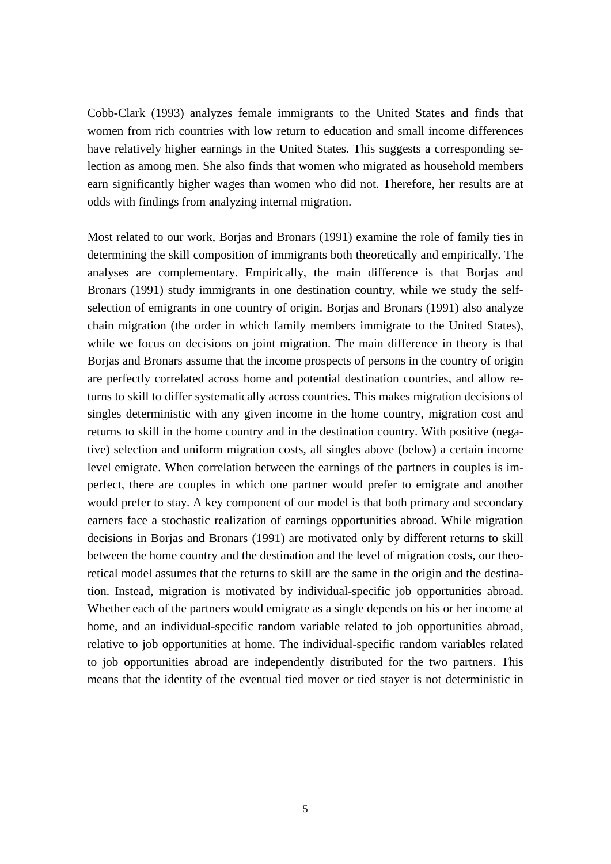Cobb-Clark (1993) analyzes female immigrants to the United States and finds that women from rich countries with low return to education and small income differences have relatively higher earnings in the United States. This suggests a corresponding selection as among men. She also finds that women who migrated as household members earn significantly higher wages than women who did not. Therefore, her results are at odds with findings from analyzing internal migration.

Most related to our work, Borjas and Bronars (1991) examine the role of family ties in determining the skill composition of immigrants both theoretically and empirically. The analyses are complementary. Empirically, the main difference is that Borjas and Bronars (1991) study immigrants in one destination country, while we study the selfselection of emigrants in one country of origin. Borjas and Bronars (1991) also analyze chain migration (the order in which family members immigrate to the United States), while we focus on decisions on joint migration. The main difference in theory is that Borjas and Bronars assume that the income prospects of persons in the country of origin are perfectly correlated across home and potential destination countries, and allow returns to skill to differ systematically across countries. This makes migration decisions of singles deterministic with any given income in the home country, migration cost and returns to skill in the home country and in the destination country. With positive (negative) selection and uniform migration costs, all singles above (below) a certain income level emigrate. When correlation between the earnings of the partners in couples is imperfect, there are couples in which one partner would prefer to emigrate and another would prefer to stay. A key component of our model is that both primary and secondary earners face a stochastic realization of earnings opportunities abroad. While migration decisions in Borjas and Bronars (1991) are motivated only by different returns to skill between the home country and the destination and the level of migration costs, our theoretical model assumes that the returns to skill are the same in the origin and the destination. Instead, migration is motivated by individual-specific job opportunities abroad. Whether each of the partners would emigrate as a single depends on his or her income at home, and an individual-specific random variable related to job opportunities abroad, relative to job opportunities at home. The individual-specific random variables related to job opportunities abroad are independently distributed for the two partners. This means that the identity of the eventual tied mover or tied stayer is not deterministic in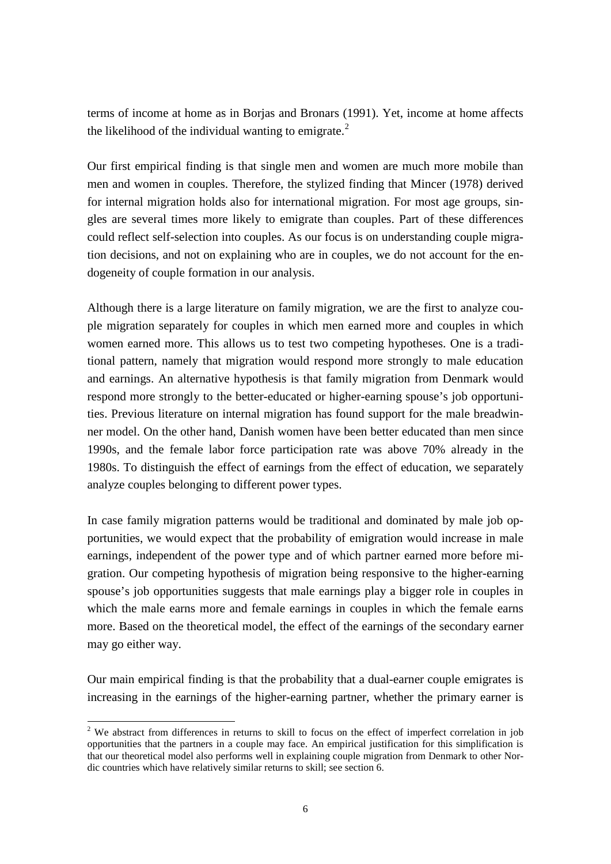terms of income at home as in Borjas and Bronars (1991). Yet, income at home affects the likelihood of the individual wanting to emigrate.<sup>[2](#page-5-0)</sup>

Our first empirical finding is that single men and women are much more mobile than men and women in couples. Therefore, the stylized finding that Mincer (1978) derived for internal migration holds also for international migration. For most age groups, singles are several times more likely to emigrate than couples. Part of these differences could reflect self-selection into couples. As our focus is on understanding couple migration decisions, and not on explaining who are in couples, we do not account for the endogeneity of couple formation in our analysis.

Although there is a large literature on family migration, we are the first to analyze couple migration separately for couples in which men earned more and couples in which women earned more. This allows us to test two competing hypotheses. One is a traditional pattern, namely that migration would respond more strongly to male education and earnings. An alternative hypothesis is that family migration from Denmark would respond more strongly to the better-educated or higher-earning spouse's job opportunities. Previous literature on internal migration has found support for the male breadwinner model. On the other hand, Danish women have been better educated than men since 1990s, and the female labor force participation rate was above 70% already in the 1980s. To distinguish the effect of earnings from the effect of education, we separately analyze couples belonging to different power types.

In case family migration patterns would be traditional and dominated by male job opportunities, we would expect that the probability of emigration would increase in male earnings, independent of the power type and of which partner earned more before migration. Our competing hypothesis of migration being responsive to the higher-earning spouse's job opportunities suggests that male earnings play a bigger role in couples in which the male earns more and female earnings in couples in which the female earns more. Based on the theoretical model, the effect of the earnings of the secondary earner may go either way.

Our main empirical finding is that the probability that a dual-earner couple emigrates is increasing in the earnings of the higher-earning partner, whether the primary earner is

<span id="page-7-0"></span><sup>&</sup>lt;sup>2</sup> We abstract from differences in returns to skill to focus on the effect of imperfect correlation in job opportunities that the partners in a couple may face. An empirical justification for this simplification is that our theoretical model also performs well in explaining couple migration from Denmark to other Nordic countries which have relatively similar returns to skill; see section 6.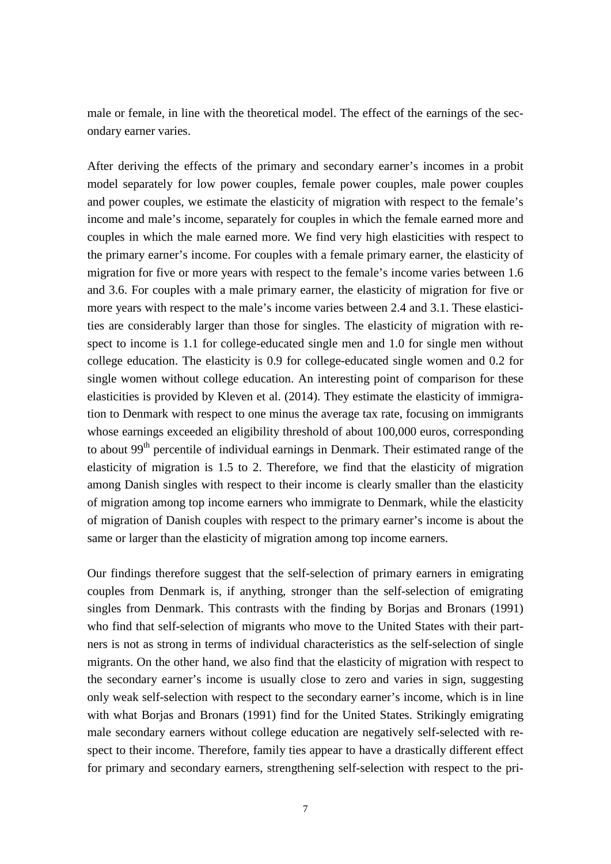male or female, in line with the theoretical model. The effect of the earnings of the secondary earner varies.

After deriving the effects of the primary and secondary earner's incomes in a probit model separately for low power couples, female power couples, male power couples and power couples, we estimate the elasticity of migration with respect to the female's income and male's income, separately for couples in which the female earned more and couples in which the male earned more. We find very high elasticities with respect to the primary earner's income. For couples with a female primary earner, the elasticity of migration for five or more years with respect to the female's income varies between 1.6 and 3.6. For couples with a male primary earner, the elasticity of migration for five or more years with respect to the male's income varies between 2.4 and 3.1. These elasticities are considerably larger than those for singles. The elasticity of migration with respect to income is 1.1 for college-educated single men and 1.0 for single men without college education. The elasticity is 0.9 for college-educated single women and 0.2 for single women without college education. An interesting point of comparison for these elasticities is provided by Kleven et al. (2014). They estimate the elasticity of immigration to Denmark with respect to one minus the average tax rate, focusing on immigrants whose earnings exceeded an eligibility threshold of about 100,000 euros, corresponding to about 99<sup>th</sup> percentile of individual earnings in Denmark. Their estimated range of the elasticity of migration is 1.5 to 2. Therefore, we find that the elasticity of migration among Danish singles with respect to their income is clearly smaller than the elasticity of migration among top income earners who immigrate to Denmark, while the elasticity of migration of Danish couples with respect to the primary earner's income is about the same or larger than the elasticity of migration among top income earners.

Our findings therefore suggest that the self-selection of primary earners in emigrating couples from Denmark is, if anything, stronger than the self-selection of emigrating singles from Denmark. This contrasts with the finding by Borjas and Bronars (1991) who find that self-selection of migrants who move to the United States with their partners is not as strong in terms of individual characteristics as the self-selection of single migrants. On the other hand, we also find that the elasticity of migration with respect to the secondary earner's income is usually close to zero and varies in sign, suggesting only weak self-selection with respect to the secondary earner's income, which is in line with what Borjas and Bronars (1991) find for the United States. Strikingly emigrating male secondary earners without college education are negatively self-selected with respect to their income. Therefore, family ties appear to have a drastically different effect for primary and secondary earners, strengthening self-selection with respect to the pri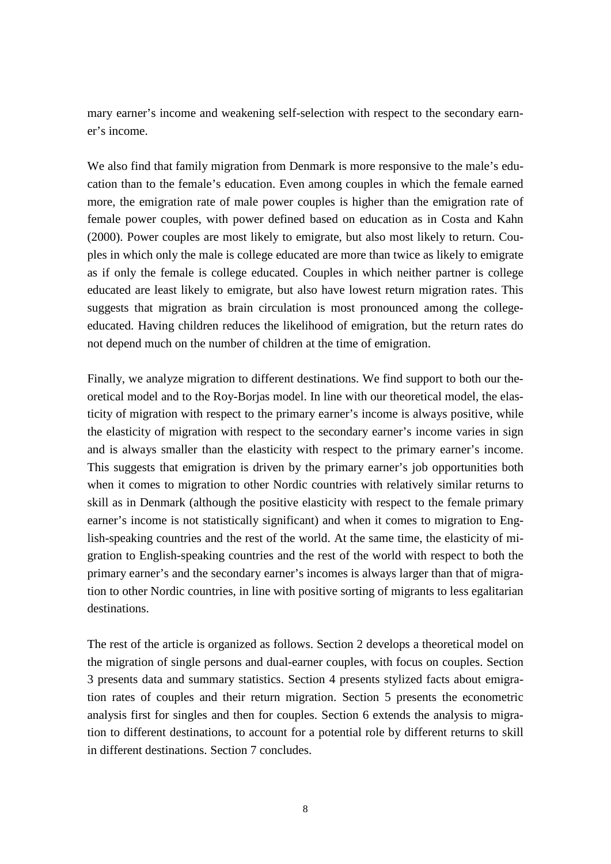mary earner's income and weakening self-selection with respect to the secondary earner's income.

We also find that family migration from Denmark is more responsive to the male's education than to the female's education. Even among couples in which the female earned more, the emigration rate of male power couples is higher than the emigration rate of female power couples, with power defined based on education as in Costa and Kahn (2000). Power couples are most likely to emigrate, but also most likely to return. Couples in which only the male is college educated are more than twice as likely to emigrate as if only the female is college educated. Couples in which neither partner is college educated are least likely to emigrate, but also have lowest return migration rates. This suggests that migration as brain circulation is most pronounced among the collegeeducated. Having children reduces the likelihood of emigration, but the return rates do not depend much on the number of children at the time of emigration.

Finally, we analyze migration to different destinations. We find support to both our theoretical model and to the Roy-Borjas model. In line with our theoretical model, the elasticity of migration with respect to the primary earner's income is always positive, while the elasticity of migration with respect to the secondary earner's income varies in sign and is always smaller than the elasticity with respect to the primary earner's income. This suggests that emigration is driven by the primary earner's job opportunities both when it comes to migration to other Nordic countries with relatively similar returns to skill as in Denmark (although the positive elasticity with respect to the female primary earner's income is not statistically significant) and when it comes to migration to English-speaking countries and the rest of the world. At the same time, the elasticity of migration to English-speaking countries and the rest of the world with respect to both the primary earner's and the secondary earner's incomes is always larger than that of migration to other Nordic countries, in line with positive sorting of migrants to less egalitarian destinations.

The rest of the article is organized as follows. Section 2 develops a theoretical model on the migration of single persons and dual-earner couples, with focus on couples. Section 3 presents data and summary statistics. Section 4 presents stylized facts about emigration rates of couples and their return migration. Section 5 presents the econometric analysis first for singles and then for couples. Section 6 extends the analysis to migration to different destinations, to account for a potential role by different returns to skill in different destinations. Section 7 concludes.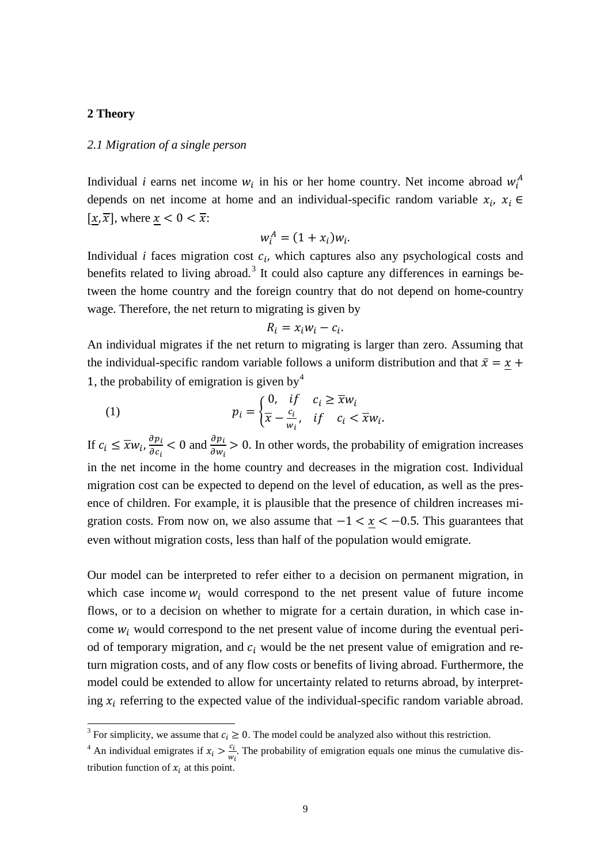#### **2 Theory**

#### *2.1 Migration of a single person*

Individual *i* earns net income  $w_i$  in his or her home country. Net income abroad  $w_i^A$ depends on net income at home and an individual-specific random variable  $x_i$ ,  $x_i$  $[x, \overline{x}]$ , where  $x < 0 < \overline{x}$ :

$$
w_i^A = (1 + x_i)w_i.
$$

Individual *i* faces migration cost  $c_i$ , which captures also any psychological costs and benefits related to living abroad.<sup>[3](#page-7-0)</sup> It could also capture any differences in earnings between the home country and the foreign country that do not depend on home-country wage. Therefore, the net return to migrating is given by

$$
R_i = x_i w_i - c_i.
$$

An individual migrates if the net return to migrating is larger than zero. Assuming that the individual-specific random variable follows a uniform distribution and that  $\bar{x} = \underline{x} +$ 1, the probability of emigration is given by  $4$ 

(1) 
$$
p_i = \begin{cases} 0, & if \quad c_i \geq \overline{x}w_i \\ \overline{x} - \frac{c_i}{w_i}, & if \quad c_i < \overline{x}w_i. \end{cases}
$$

If  $c_i \leq \overline{x} w_i$ ,  $\frac{\partial p_i}{\partial c_i}$  $\frac{\partial p_i}{\partial c_i}$  < 0 and  $\frac{\partial p_i}{\partial w_i}$  > 0. In other words, the probability of emigration increases in the net income in the home country and decreases in the migration cost. Individual migration cost can be expected to depend on the level of education, as well as the presence of children. For example, it is plausible that the presence of children increases migration costs. From now on, we also assume that  $-1 < x < -0.5$ . This guarantees that even without migration costs, less than half of the population would emigrate.

Our model can be interpreted to refer either to a decision on permanent migration, in which case income  $w_i$  would correspond to the net present value of future income flows, or to a decision on whether to migrate for a certain duration, in which case income  $w_i$  would correspond to the net present value of income during the eventual period of temporary migration, and  $c_i$  would be the net present value of emigration and return migration costs, and of any flow costs or benefits of living abroad. Furthermore, the model could be extended to allow for uncertainty related to returns abroad, by interpreting  $x_i$  referring to the expected value of the individual-specific random variable abroad.

<span id="page-10-1"></span><sup>&</sup>lt;sup>3</sup> For simplicity, we assume that  $c_i \geq 0$ . The model could be analyzed also without this restriction.

<span id="page-10-0"></span><sup>&</sup>lt;sup>4</sup> An individual emigrates if  $x_i > \frac{c_i}{w_i}$ . The probability of emigration equals one minus the cumulative distribution function of  $x_i$  at this point.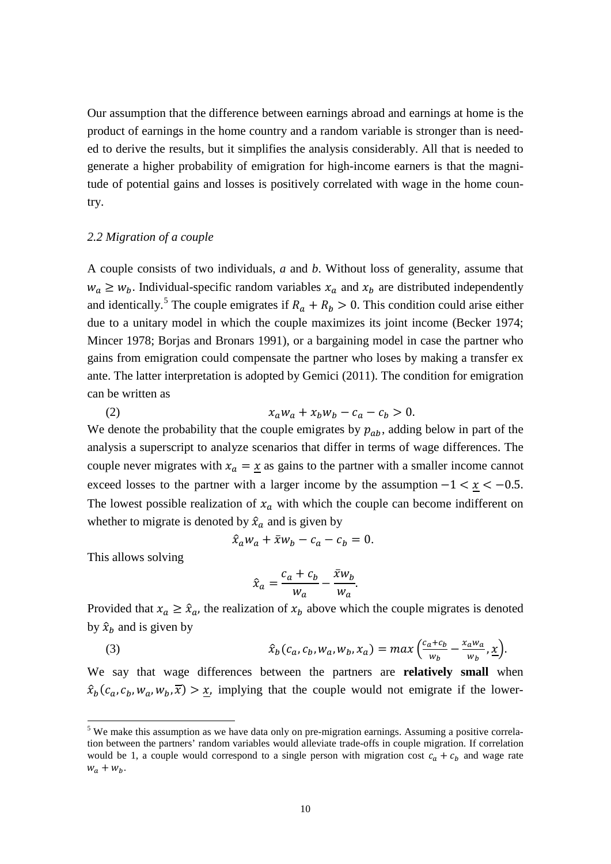Our assumption that the difference between earnings abroad and earnings at home is the product of earnings in the home country and a random variable is stronger than is needed to derive the results, but it simplifies the analysis considerably. All that is needed to generate a higher probability of emigration for high-income earners is that the magnitude of potential gains and losses is positively correlated with wage in the home country.

#### *2.2 Migration of a couple*

A couple consists of two individuals, *a* and *b*. Without loss of generality, assume that  $w_a \geq w_b$ . Individual-specific random variables  $x_a$  and  $x_b$  are distributed independently and identically.<sup>[5](#page-10-1)</sup> The couple emigrates if  $R_a + R_b > 0$ . This condition could arise either due to a unitary model in which the couple maximizes its joint income (Becker 1974; Mincer 1978; Borjas and Bronars 1991), or a bargaining model in case the partner who gains from emigration could compensate the partner who loses by making a transfer ex ante. The latter interpretation is adopted by Gemici (2011). The condition for emigration can be written as

(2)  $x_a w_a + x_b w_b - c_a - c_b > 0.$ We denote the probability that the couple emigrates by  $p_{ab}$ , adding below in part of the analysis a superscript to analyze scenarios that differ in terms of wage differences. The couple never migrates with  $x_a = \underline{x}$  as gains to the partner with a smaller income cannot exceed losses to the partner with a larger income by the assumption  $-1 < x < -0.5$ . The lowest possible realization of  $x_a$  with which the couple can become indifferent on whether to migrate is denoted by  $\hat{x}_a$  and is given by

$$
\hat{x}_a w_a + \bar{x} w_b - c_a - c_b = 0.
$$

This allows solving

$$
\hat{x}_a = \frac{c_a + c_b}{w_a} - \frac{\bar{x}w_b}{w_a}.
$$

Provided that  $x_a \geq \hat{x}_a$ , the realization of  $x_b$  above which the couple migrates is denoted by  $\hat{x}_b$  and is given by

(3) 
$$
\hat{x}_b(c_a, c_b, w_a, w_b, x_a) = max\left(\frac{c_a + c_b}{w_b} - \frac{x_a w_a}{w_b}, \underline{x}\right).
$$

<span id="page-11-0"></span>We say that wage differences between the partners are **relatively small** when  $\hat{x}_b(c_a, c_b, w_a, w_b, \overline{x}) > \underline{x}$ , implying that the couple would not emigrate if the lower-

<sup>&</sup>lt;sup>5</sup> We make this assumption as we have data only on pre-migration earnings. Assuming a positive correlation between the partners' random variables would alleviate trade-offs in couple migration. If correlation would be 1, a couple would correspond to a single person with migration cost  $c_a + c_b$  and wage rate  $w_a + w_b$ .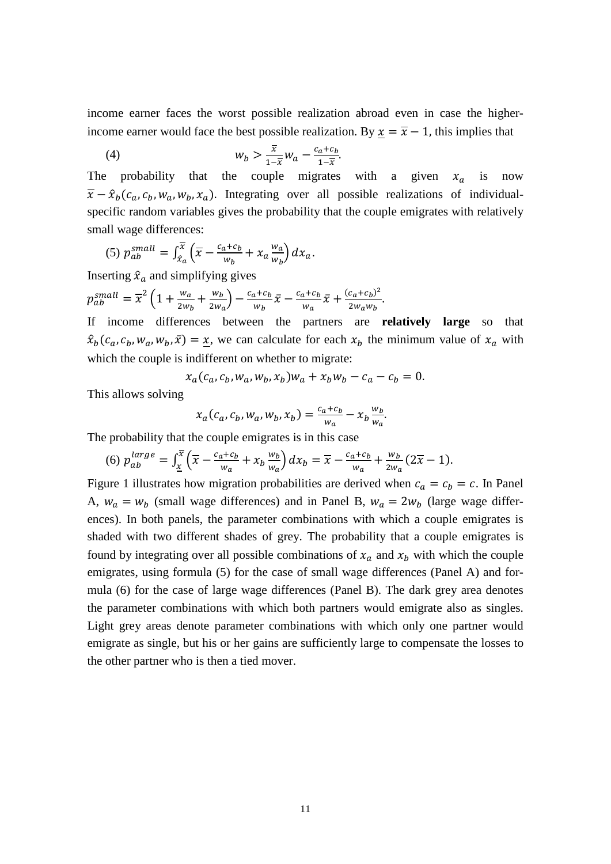income earner faces the worst possible realization abroad even in case the higherincome earner would face the best possible realization. By  $\underline{x} = \overline{x} - 1$ , this implies that

$$
(4) \t\t w_b > \frac{\overline{x}}{1-\overline{x}} w_a - \frac{c_a + c_b}{1-\overline{x}}.
$$

The probability that the couple migrates with a given  $x_a$  is now  $\overline{x} - \hat{x}_b(c_a, c_b, w_a, w_b, x_a)$ . Integrating over all possible realizations of individualspecific random variables gives the probability that the couple emigrates with relatively small wage differences:

(5) 
$$
p_{ab}^{small} = \int_{\hat{x}_a}^{\overline{x}} \left( \overline{x} - \frac{c_a + c_b}{w_b} + x_a \frac{w_a}{w_b} \right) dx_a.
$$

Inserting  $\hat{x}_a$  and simplifying gives

$$
p_{ab}^{small} = \overline{x}^2 \left( 1 + \frac{w_a}{2w_b} + \frac{w_b}{2w_a} \right) - \frac{c_a + c_b}{w_b} \overline{x} - \frac{c_a + c_b}{w_a} \overline{x} + \frac{(c_a + c_b)^2}{2w_a w_b}.
$$

If income differences between the partners are **relatively large** so that  $\hat{x}_b(c_a, c_b, w_a, w_b, \bar{x}) = \underline{x}$ , we can calculate for each  $x_b$  the minimum value of  $x_a$  with which the couple is indifferent on whether to migrate:

$$
x_a(c_a, c_b, w_a, w_b, x_b)w_a + x_bw_b - c_a - c_b = 0.
$$

This allows solving

$$
x_a(c_a, c_b, w_a, w_b, x_b) = \frac{c_a + c_b}{w_a} - x_b \frac{w_b}{w_a}.
$$

The probability that the couple emigrates is in this case

(6) 
$$
p_{ab}^{large} = \int_{\underline{x}}^{\overline{x}} \left( \overline{x} - \frac{c_a + c_b}{w_a} + x_b \frac{w_b}{w_a} \right) dx_b = \overline{x} - \frac{c_a + c_b}{w_a} + \frac{w_b}{2w_a} (2\overline{x} - 1).
$$

Figure 1 illustrates how migration probabilities are derived when  $c_a = c_b = c$ . In Panel A,  $w_a = w_b$  (small wage differences) and in Panel B,  $w_a = 2w_b$  (large wage differences). In both panels, the parameter combinations with which a couple emigrates is shaded with two different shades of grey. The probability that a couple emigrates is found by integrating over all possible combinations of  $x_a$  and  $x_b$  with which the couple emigrates, using formula (5) for the case of small wage differences (Panel A) and formula (6) for the case of large wage differences (Panel B). The dark grey area denotes the parameter combinations with which both partners would emigrate also as singles. Light grey areas denote parameter combinations with which only one partner would emigrate as single, but his or her gains are sufficiently large to compensate the losses to the other partner who is then a tied mover.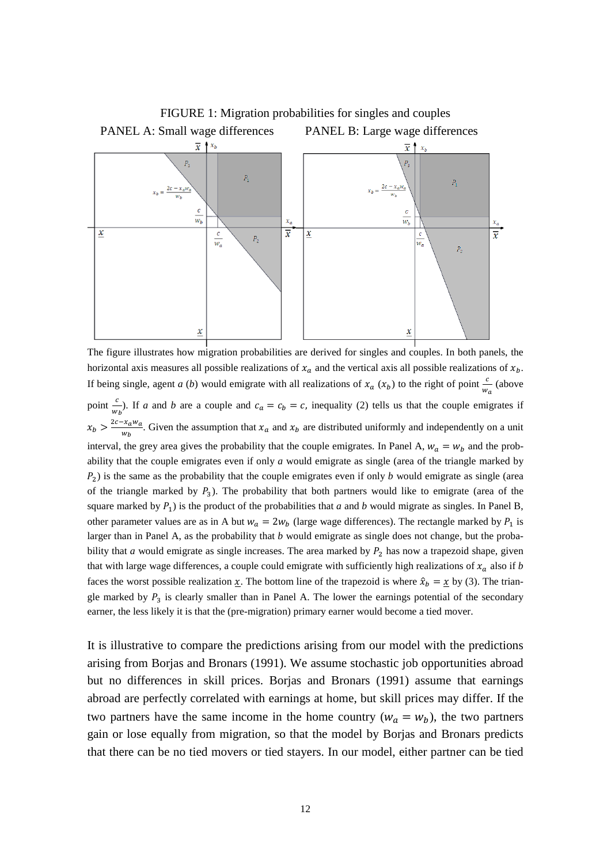

The figure illustrates how migration probabilities are derived for singles and couples. In both panels, the horizontal axis measures all possible realizations of  $x_a$  and the vertical axis all possible realizations of  $x_b$ . If being single, agent *a* (*b*) would emigrate with all realizations of  $x_a$  ( $x_b$ ) to the right of point  $\frac{c}{w_a}$  (above  $w_a$ point  $\frac{c}{w_b}$ . If *a* and *b* are a couple and  $c_a = c_b = c$ , inequality (2) tells us that the couple emigrates if  $x_b > \frac{2c - x_a w_a}{w_b}$ . Given the assumption that  $x_a$  and  $x_b$  are distributed uniformly and independently on a unit interval, the grey area gives the probability that the couple emigrates. In Panel A,  $w_a = w_b$  and the probability that the couple emigrates even if only *a* would emigrate as single (area of the triangle marked by  $P_2$ ) is the same as the probability that the couple emigrates even if only *b* would emigrate as single (area of the triangle marked by  $P_3$ ). The probability that both partners would like to emigrate (area of the square marked by  $P_1$ ) is the product of the probabilities that *a* and *b* would migrate as singles. In Panel B, other parameter values are as in A but  $w_a = 2w_b$  (large wage differences). The rectangle marked by  $P_1$  is larger than in Panel A, as the probability that *b* would emigrate as single does not change, but the probability that *a* would emigrate as single increases. The area marked by  $P_2$  has now a trapezoid shape, given that with large wage differences, a couple could emigrate with sufficiently high realizations of  $x_a$  also if *b* faces the worst possible realization  $\underline{x}$ . The bottom line of the trapezoid is where  $\hat{x}_b = \underline{x}$  by (3). The triangle marked by  $P_3$  is clearly smaller than in Panel A. The lower the earnings potential of the secondary earner, the less likely it is that the (pre-migration) primary earner would become a tied mover.

It is illustrative to compare the predictions arising from our model with the predictions arising from Borjas and Bronars (1991). We assume stochastic job opportunities abroad but no differences in skill prices. Borjas and Bronars (1991) assume that earnings abroad are perfectly correlated with earnings at home, but skill prices may differ. If the two partners have the same income in the home country ( $w_a = w_b$ ), the two partners gain or lose equally from migration, so that the model by Borjas and Bronars predicts that there can be no tied movers or tied stayers. In our model, either partner can be tied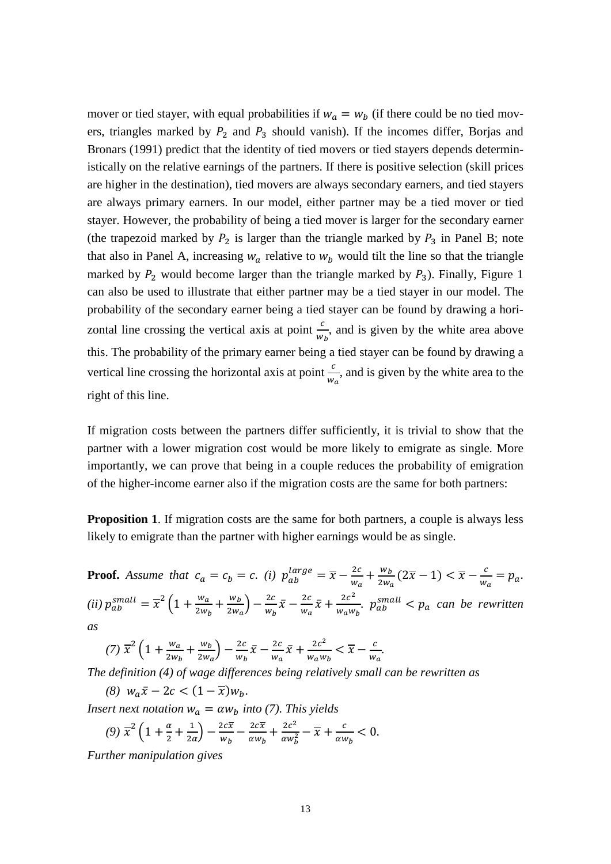mover or tied stayer, with equal probabilities if  $w_a = w_b$  (if there could be no tied movers, triangles marked by  $P_2$  and  $P_3$  should vanish). If the incomes differ, Borjas and Bronars (1991) predict that the identity of tied movers or tied stayers depends deterministically on the relative earnings of the partners. If there is positive selection (skill prices are higher in the destination), tied movers are always secondary earners, and tied stayers are always primary earners. In our model, either partner may be a tied mover or tied stayer. However, the probability of being a tied mover is larger for the secondary earner (the trapezoid marked by  $P_2$  is larger than the triangle marked by  $P_3$  in Panel B; note that also in Panel A, increasing  $w_a$  relative to  $w_b$  would tilt the line so that the triangle marked by  $P_2$  would become larger than the triangle marked by  $P_3$ ). Finally, Figure 1 can also be used to illustrate that either partner may be a tied stayer in our model. The probability of the secondary earner being a tied stayer can be found by drawing a horizontal line crossing the vertical axis at point  $\frac{c}{w}$  $W_b$ , and is given by the white area above this. The probability of the primary earner being a tied stayer can be found by drawing a vertical line crossing the horizontal axis at point  $\frac{c}{w_a}$ , and is given by the white area to the right of this line.

If migration costs between the partners differ sufficiently, it is trivial to show that the partner with a lower migration cost would be more likely to emigrate as single. More importantly, we can prove that being in a couple reduces the probability of emigration of the higher-income earner also if the migration costs are the same for both partners:

**Proposition 1.** If migration costs are the same for both partners, a couple is always less likely to emigrate than the partner with higher earnings would be as single.

**Proof.** Assume that  $c_a = c_b = c$ . *(i)*  $p_{ab}^{\text{large}} = \overline{x} - \frac{2c}{w_a} + \frac{w_b}{2w_a}(2\overline{x} - 1) < \overline{x} - \frac{c}{w_a} = p_a$ . (*ii*)  $p_{ab}^{small} = \overline{x}^2 \left( 1 + \frac{w_a}{2w_b} + \frac{w_b}{2w_a} \right) - \frac{2c}{w_b} \overline{x} - \frac{2c}{w_a} \overline{x} + \frac{2c^2}{w_a w_b}$ .  $p_{ab}^{small} < p_a$  can be rewritten *as*

(7)  $\overline{x}^2 \left( 1 + \frac{w_a}{2w_b} + \frac{w_b}{2w_a} \right) - \frac{2c}{w_b} \overline{x} - \frac{2c}{w_a} \overline{x} + \frac{2c^2}{w_a w_b} < \overline{x} - \frac{c}{w_a}.$ 

*The definition (4) of wage differences being relatively small can be rewritten as*

*(8)*  $W_a \bar{x} - 2c < (1 - \bar{x})W_b$ .

*Insert next notation*  $w_a = \alpha w_b$  *into* (7). This yields

$$
(9) \ \overline{x}^2 \left( 1 + \frac{\alpha}{2} + \frac{1}{2\alpha} \right) - \frac{2c\overline{x}}{w_b} - \frac{2c\overline{x}}{\alpha w_b} + \frac{2c^2}{\alpha w_b^2} - \overline{x} + \frac{c}{\alpha w_b} < 0.
$$

*Further manipulation gives*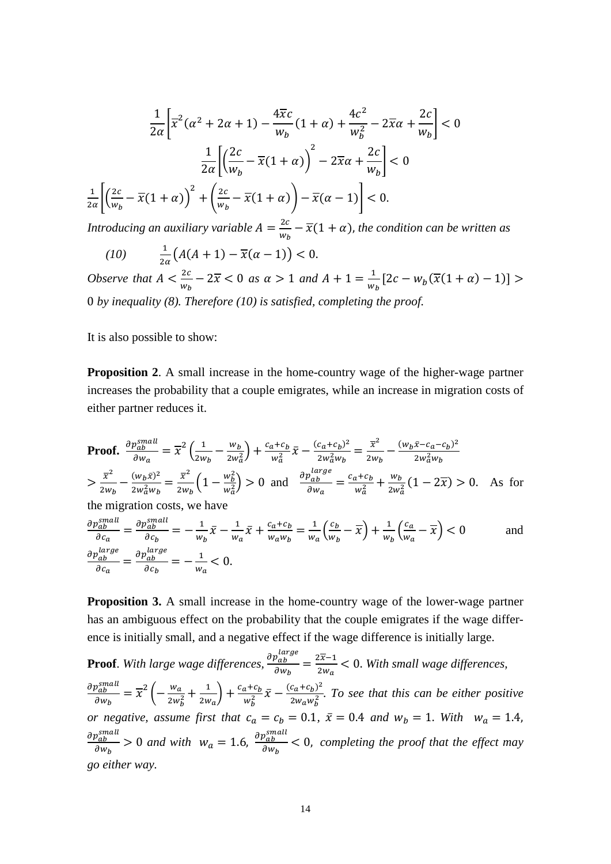$$
\frac{1}{2\alpha} \left[ \overline{x}^2 (\alpha^2 + 2\alpha + 1) - \frac{4\overline{x}c}{w_b} (1 + \alpha) + \frac{4c^2}{w_b^2} - 2\overline{x}\alpha + \frac{2c}{w_b} \right] < 0
$$

$$
\frac{1}{2\alpha} \left[ \left( \frac{2c}{w_b} - \overline{x}(1 + \alpha) \right)^2 - 2\overline{x}\alpha + \frac{2c}{w_b} \right] < 0
$$

$$
\frac{1}{2\alpha} \left[ \left( \frac{2c}{w_b} - \overline{x}(1 + \alpha) \right)^2 + \left( \frac{2c}{w_b} - \overline{x}(1 + \alpha) \right) - \overline{x}(\alpha - 1) \right] < 0.
$$

*Introducing an auxiliary variable*  $A = \frac{2c}{w_b} - \overline{x}(1 + \alpha)$ , *the condition can be written as* 

*(10)*  $\frac{1}{2\alpha}(A(A+1) - \overline{x}(\alpha - 1)) < 0.$ *Observe that*  $A < \frac{2c}{w_k}$  $\frac{2c}{w_b}$  − 2 $\overline{x}$  < 0 *as*  $\alpha$  > 1 *and*  $A + 1 = \frac{1}{w_b} [2c - w_b(\overline{x}(1 + \alpha) - 1)]$  > 0 *by inequality (8). Therefore (10) is satisfied, completing the proof.*

It is also possible to show:

**Proposition 2.** A small increase in the home-country wage of the higher-wage partner increases the probability that a couple emigrates, while an increase in migration costs of either partner reduces it.

Proof. 
$$
\frac{\partial p_{ab}^{small}}{\partial w_a} = \overline{x}^2 \left( \frac{1}{2w_b} - \frac{w_b}{2w_a^2} \right) + \frac{c_a + c_b}{w_a^2} \overline{x} - \frac{(c_a + c_b)^2}{2w_a^2 w_b} = \frac{\overline{x}^2}{2w_b} - \frac{(w_b \overline{x} - c_a - c_b)^2}{2w_a^2 w_b}
$$

$$
> \frac{\overline{x}^2}{2w_b} - \frac{(w_b \overline{x})^2}{2w_a^2 w_b} = \frac{\overline{x}^2}{2w_b} \left( 1 - \frac{w_b^2}{w_a^2} \right) > 0 \text{ and } \frac{\partial p_{ab}^{large}}{\partial w_a} = \frac{c_a + c_b}{w_a^2} + \frac{w_b}{2w_a^2} \left( 1 - 2\overline{x} \right) > 0. \text{ As for the migration costs, we have}
$$

$$
\frac{\partial p_{ab}^{small}}{\partial c_a} = \frac{\partial p_{ab}^{small}}{\partial c_b} = -\frac{1}{w_b} \overline{x} - \frac{1}{w_a} \overline{x} + \frac{c_a + c_b}{w_a w_b} = \frac{1}{w_a} \left( \frac{c_b}{w_b} - \overline{x} \right) + \frac{1}{w_b} \left( \frac{c_a}{w_a} - \overline{x} \right) < 0 \quad \text{and}
$$

$$
\frac{\partial p_{ab}^{large}}{\partial c_a} = \frac{\partial p_{ab}^{large}}{\partial c_b} = -\frac{1}{w_a} < 0.
$$

**Proposition 3.** A small increase in the home-country wage of the lower-wage partner has an ambiguous effect on the probability that the couple emigrates if the wage difference is initially small, and a negative effect if the wage difference is initially large.

**Proof**. *With large wage differences,*  $\frac{p_{ab}}{\partial w_b} = \frac{2x-1}{2w_a} < 0$ . With small wage differences,  $\partial p_{ab}^{small}$  $\frac{\partial_{ab}^{small}}{\partial w_b} = \overline{x}^2 \left( -\frac{w_a}{2w_b^2} + \frac{1}{2w_a} \right) + \frac{c_a + c_b}{w_b^2} \overline{x} - \frac{(c_a + c_b)^2}{2w_a w_b^2}$ . To see that this can be either positive *or negative, assume first that*  $c_a = c_b = 0.1$ ,  $\bar{x} = 0.4$  *and*  $w_b = 1$ . *With*  $w_a = 1.4$ ,  $\partial p_{ab}^{small}$  $\frac{p_{ab}^{small}}{\partial w_b} > 0$  and with  $w_a = 1.6$ ,  $\frac{\partial p_{ab}^{small}}{\partial w_b}$  $\frac{\partial^2 a b}{\partial w_b}$  < 0, completing the proof that the effect may *go either way.*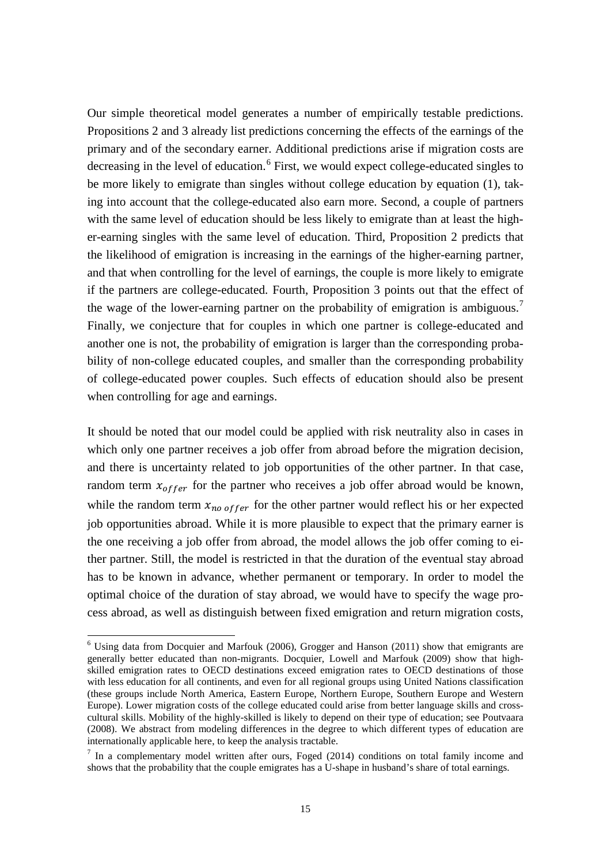Our simple theoretical model generates a number of empirically testable predictions. Propositions 2 and 3 already list predictions concerning the effects of the earnings of the primary and of the secondary earner. Additional predictions arise if migration costs are decreasing in the level of education.<sup>[6](#page-11-0)</sup> First, we would expect college-educated singles to be more likely to emigrate than singles without college education by equation (1), taking into account that the college-educated also earn more. Second, a couple of partners with the same level of education should be less likely to emigrate than at least the higher-earning singles with the same level of education. Third, Proposition 2 predicts that the likelihood of emigration is increasing in the earnings of the higher-earning partner, and that when controlling for the level of earnings, the couple is more likely to emigrate if the partners are college-educated. Fourth, Proposition 3 points out that the effect of the wage of the lower-earning partner on the probability of emigration is ambiguous.<sup>[7](#page-16-0)</sup> Finally, we conjecture that for couples in which one partner is college-educated and another one is not, the probability of emigration is larger than the corresponding probability of non-college educated couples, and smaller than the corresponding probability of college-educated power couples. Such effects of education should also be present when controlling for age and earnings.

It should be noted that our model could be applied with risk neutrality also in cases in which only one partner receives a job offer from abroad before the migration decision, and there is uncertainty related to job opportunities of the other partner. In that case, random term  $x_{offer}$  for the partner who receives a job offer abroad would be known, while the random term  $x_{no\,offer}$  for the other partner would reflect his or her expected job opportunities abroad. While it is more plausible to expect that the primary earner is the one receiving a job offer from abroad, the model allows the job offer coming to either partner. Still, the model is restricted in that the duration of the eventual stay abroad has to be known in advance, whether permanent or temporary. In order to model the optimal choice of the duration of stay abroad, we would have to specify the wage process abroad, as well as distinguish between fixed emigration and return migration costs,

<span id="page-16-1"></span> $6$  Using data from Docquier and Marfouk (2006), Grogger and Hanson (2011) show that emigrants are generally better educated than non-migrants. Docquier, Lowell and Marfouk (2009) show that highskilled emigration rates to OECD destinations exceed emigration rates to OECD destinations of those with less education for all continents, and even for all regional groups using United Nations classification (these groups include North America, Eastern Europe, Northern Europe, Southern Europe and Western Europe). Lower migration costs of the college educated could arise from better language skills and crosscultural skills. Mobility of the highly-skilled is likely to depend on their type of education; see Poutvaara (2008). We abstract from modeling differences in the degree to which different types of education are internationally applicable here, to keep the analysis tractable.

<span id="page-16-0"></span> $7$  In a complementary model written after ours, Foged (2014) conditions on total family income and shows that the probability that the couple emigrates has a U-shape in husband's share of total earnings.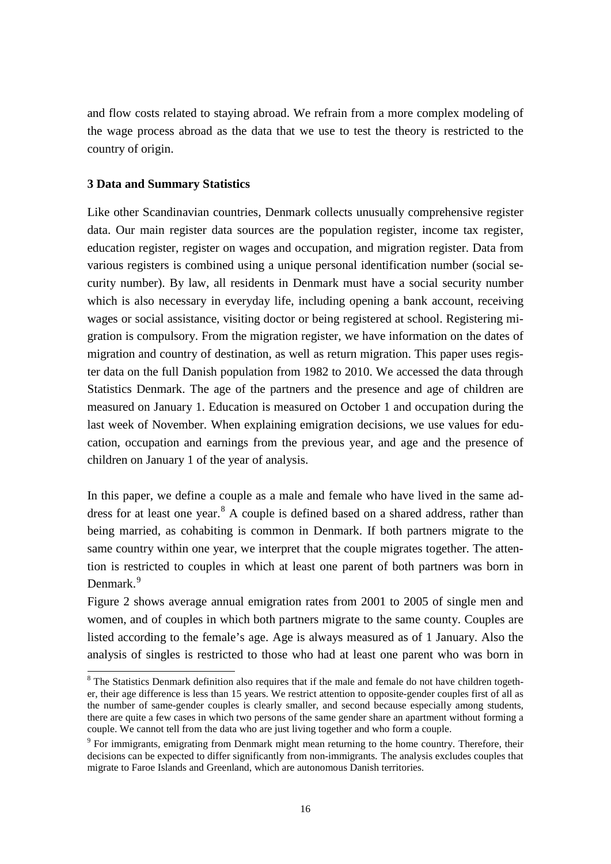and flow costs related to staying abroad. We refrain from a more complex modeling of the wage process abroad as the data that we use to test the theory is restricted to the country of origin.

#### **3 Data and Summary Statistics**

Like other Scandinavian countries, Denmark collects unusually comprehensive register data. Our main register data sources are the population register, income tax register, education register, register on wages and occupation, and migration register. Data from various registers is combined using a unique personal identification number (social security number). By law, all residents in Denmark must have a social security number which is also necessary in everyday life, including opening a bank account, receiving wages or social assistance, visiting doctor or being registered at school. Registering migration is compulsory. From the migration register, we have information on the dates of migration and country of destination, as well as return migration. This paper uses register data on the full Danish population from 1982 to 2010. We accessed the data through Statistics Denmark. The age of the partners and the presence and age of children are measured on January 1. Education is measured on October 1 and occupation during the last week of November. When explaining emigration decisions, we use values for education, occupation and earnings from the previous year, and age and the presence of children on January 1 of the year of analysis.

In this paper, we define a couple as a male and female who have lived in the same ad-dress for at least one year.<sup>[8](#page-16-1)</sup> A couple is defined based on a shared address, rather than being married, as cohabiting is common in Denmark. If both partners migrate to the same country within one year, we interpret that the couple migrates together. The attention is restricted to couples in which at least one parent of both partners was born in Denmark.<sup>[9](#page-17-0)</sup>

Figure 2 shows average annual emigration rates from 2001 to 2005 of single men and women, and of couples in which both partners migrate to the same county. Couples are listed according to the female's age. Age is always measured as of 1 January. Also the analysis of singles is restricted to those who had at least one parent who was born in

<sup>&</sup>lt;sup>8</sup> The Statistics Denmark definition also requires that if the male and female do not have children together, their age difference is less than 15 years. We restrict attention to opposite-gender couples first of all as the number of same-gender couples is clearly smaller, and second because especially among students, there are quite a few cases in which two persons of the same gender share an apartment without forming a couple. We cannot tell from the data who are just living together and who form a couple.

<span id="page-17-1"></span><span id="page-17-0"></span><sup>&</sup>lt;sup>9</sup> For immigrants, emigrating from Denmark might mean returning to the home country. Therefore, their decisions can be expected to differ significantly from non-immigrants. The analysis excludes couples that migrate to Faroe Islands and Greenland, which are autonomous Danish territories.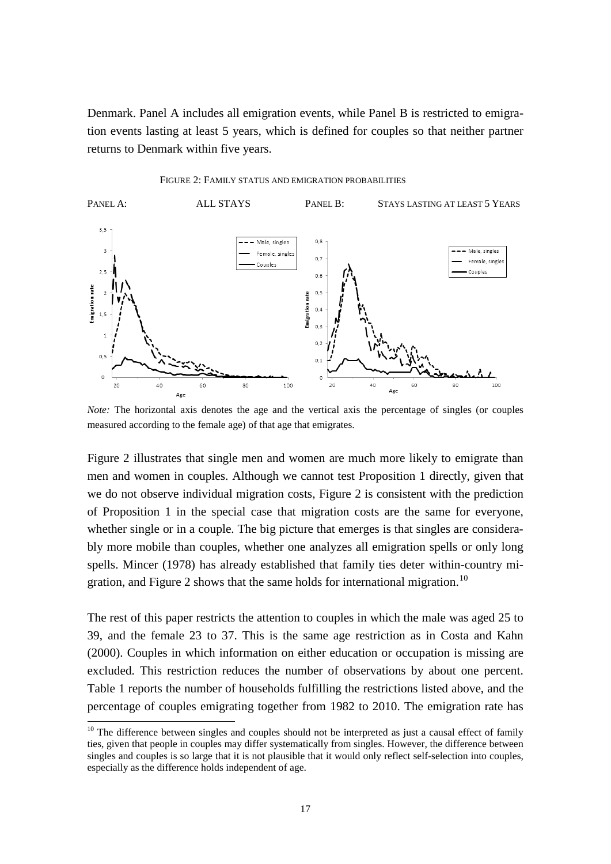Denmark. Panel A includes all emigration events, while Panel B is restricted to emigration events lasting at least 5 years, which is defined for couples so that neither partner returns to Denmark within five years.





*Note:* The horizontal axis denotes the age and the vertical axis the percentage of singles (or couples measured according to the female age) of that age that emigrates.

Figure 2 illustrates that single men and women are much more likely to emigrate than men and women in couples. Although we cannot test Proposition 1 directly, given that we do not observe individual migration costs, Figure 2 is consistent with the prediction of Proposition 1 in the special case that migration costs are the same for everyone, whether single or in a couple. The big picture that emerges is that singles are considerably more mobile than couples, whether one analyzes all emigration spells or only long spells. Mincer (1978) has already established that family ties deter within-country mi-gration, and Figure 2 shows that the same holds for international migration.<sup>[10](#page-17-1)</sup>

The rest of this paper restricts the attention to couples in which the male was aged 25 to 39, and the female 23 to 37. This is the same age restriction as in Costa and Kahn (2000). Couples in which information on either education or occupation is missing are excluded. This restriction reduces the number of observations by about one percent. Table 1 reports the number of households fulfilling the restrictions listed above, and the percentage of couples emigrating together from 1982 to 2010. The emigration rate has

<span id="page-18-0"></span> $10$  The difference between singles and couples should not be interpreted as just a causal effect of family ties, given that people in couples may differ systematically from singles. However, the difference between singles and couples is so large that it is not plausible that it would only reflect self-selection into couples, especially as the difference holds independent of age.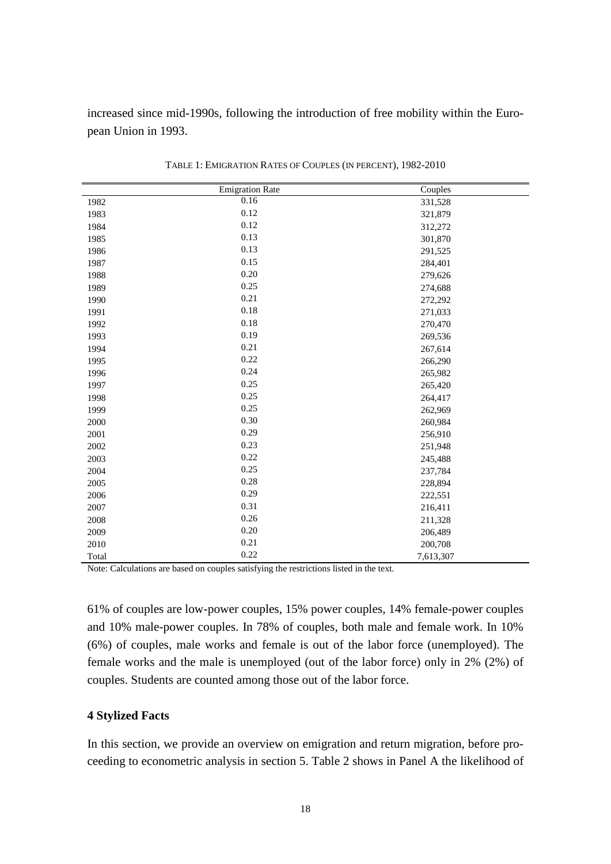increased since mid-1990s, following the introduction of free mobility within the European Union in 1993.

|       | Emigration Rate | Couples   |
|-------|-----------------|-----------|
| 1982  | 0.16            | 331,528   |
| 1983  | 0.12            | 321,879   |
| 1984  | 0.12            | 312,272   |
| 1985  | 0.13            | 301,870   |
| 1986  | 0.13            | 291,525   |
| 1987  | 0.15            | 284,401   |
| 1988  | 0.20            | 279,626   |
| 1989  | 0.25            | 274,688   |
| 1990  | 0.21            | 272,292   |
| 1991  | 0.18            | 271,033   |
| 1992  | 0.18            | 270,470   |
| 1993  | 0.19            | 269,536   |
| 1994  | 0.21            | 267,614   |
| 1995  | 0.22            | 266,290   |
| 1996  | 0.24            | 265,982   |
| 1997  | 0.25            | 265,420   |
| 1998  | 0.25            | 264,417   |
| 1999  | 0.25            | 262,969   |
| 2000  | 0.30            | 260,984   |
| 2001  | 0.29            | 256,910   |
| 2002  | 0.23            | 251,948   |
| 2003  | 0.22            | 245,488   |
| 2004  | 0.25            | 237,784   |
| 2005  | 0.28            | 228,894   |
| 2006  | 0.29            | 222,551   |
| 2007  | 0.31            | 216,411   |
| 2008  | 0.26            | 211,328   |
| 2009  | 0.20            | 206,489   |
| 2010  | 0.21            | 200,708   |
| Total | 0.22            | 7,613,307 |

TABLE 1: EMIGRATION RATES OF COUPLES (IN PERCENT), 1982-2010

Note: Calculations are based on couples satisfying the restrictions listed in the text.

61% of couples are low-power couples, 15% power couples, 14% female-power couples and 10% male-power couples. In 78% of couples, both male and female work. In 10% (6%) of couples, male works and female is out of the labor force (unemployed). The female works and the male is unemployed (out of the labor force) only in 2% (2%) of couples. Students are counted among those out of the labor force.

#### **Stylized Facts**

In this section, we provide an overview on emigration and return migration, before proceeding to econometric analysis in section 5. Table 2 shows in Panel A the likelihood of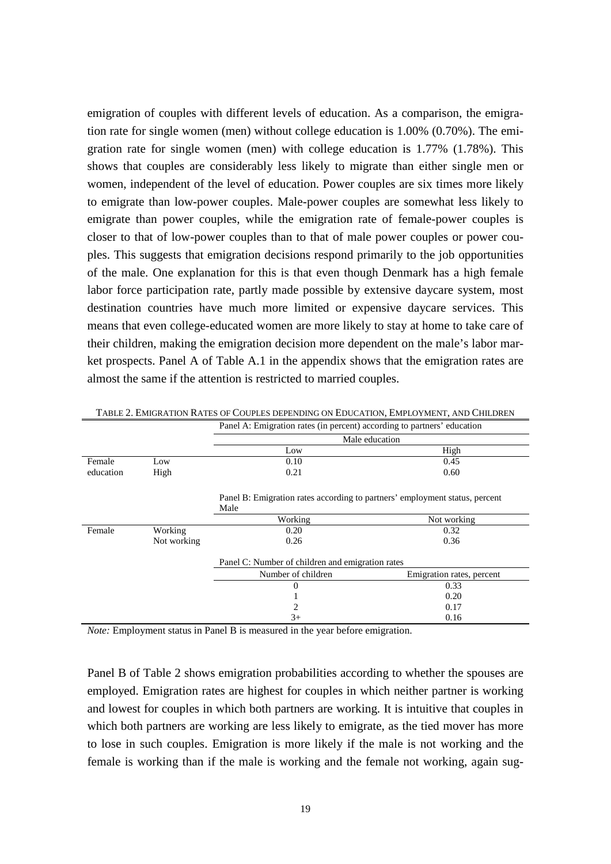emigration of couples with different levels of education. As a comparison, the emigration rate for single women (men) without college education is 1.00% (0.70%). The emigration rate for single women (men) with college education is 1.77% (1.78%). This shows that couples are considerably less likely to migrate than either single men or women, independent of the level of education. Power couples are six times more likely to emigrate than low-power couples. Male-power couples are somewhat less likely to emigrate than power couples, while the emigration rate of female-power couples is closer to that of low-power couples than to that of male power couples or power couples. This suggests that emigration decisions respond primarily to the job opportunities of the male. One explanation for this is that even though Denmark has a high female labor force participation rate, partly made possible by extensive daycare system, most destination countries have much more limited or expensive daycare services. This means that even college-educated women are more likely to stay at home to take care of their children, making the emigration decision more dependent on the male's labor market prospects. Panel A of Table A.1 in the appendix shows that the emigration rates are almost the same if the attention is restricted to married couples.

|           |             | Panel A: Emigration rates (in percent) according to partners equivation             |                           |  |  |  |  |
|-----------|-------------|-------------------------------------------------------------------------------------|---------------------------|--|--|--|--|
|           |             |                                                                                     | Male education            |  |  |  |  |
|           |             | Low                                                                                 | High                      |  |  |  |  |
| Female    | Low         | 0.10                                                                                | 0.45                      |  |  |  |  |
| education | High        | 0.21                                                                                | 0.60                      |  |  |  |  |
|           |             | Panel B: Emigration rates according to partners' employment status, percent<br>Male |                           |  |  |  |  |
|           |             | Working                                                                             | Not working               |  |  |  |  |
| Female    | Working     | 0.20                                                                                | 0.32                      |  |  |  |  |
|           | Not working | 0.26                                                                                | 0.36                      |  |  |  |  |
|           |             | Panel C: Number of children and emigration rates                                    |                           |  |  |  |  |
|           |             | Number of children                                                                  | Emigration rates, percent |  |  |  |  |
|           |             | 0                                                                                   | 0.33                      |  |  |  |  |
|           |             |                                                                                     | 0.20                      |  |  |  |  |
|           |             | 2                                                                                   | 0.17                      |  |  |  |  |
|           |             | 3+                                                                                  | 0.16                      |  |  |  |  |

TABLE 2. EMIGRATION RATES OF COUPLES DEPENDING ON EDUCATION, EMPLOYMENT, AND CHILDREN Panel A: Emigration rates (in percent) according to partners' education

*Note:* Employment status in Panel B is measured in the year before emigration.

Panel B of Table 2 shows emigration probabilities according to whether the spouses are employed. Emigration rates are highest for couples in which neither partner is working and lowest for couples in which both partners are working. It is intuitive that couples in which both partners are working are less likely to emigrate, as the tied mover has more to lose in such couples. Emigration is more likely if the male is not working and the female is working than if the male is working and the female not working, again sug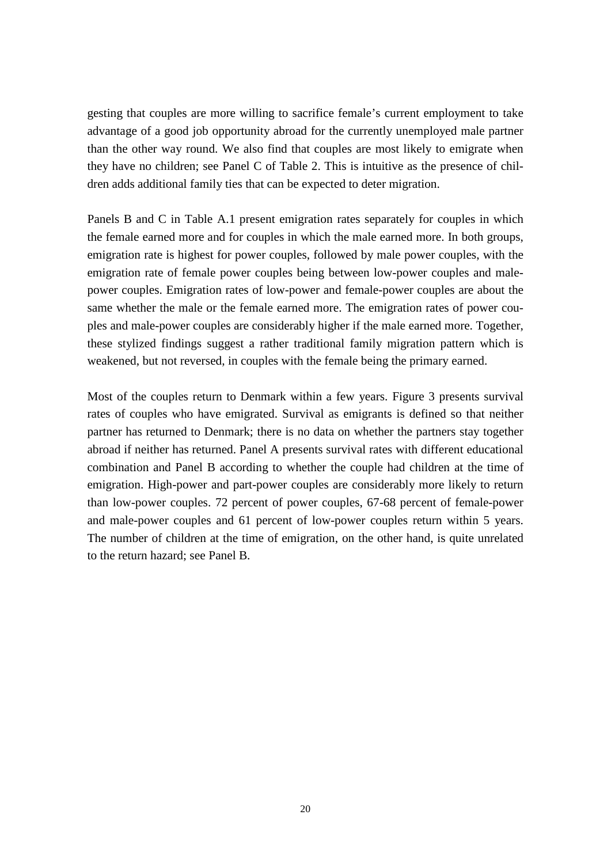gesting that couples are more willing to sacrifice female's current employment to take advantage of a good job opportunity abroad for the currently unemployed male partner than the other way round. We also find that couples are most likely to emigrate when they have no children; see Panel C of Table 2. This is intuitive as the presence of children adds additional family ties that can be expected to deter migration.

Panels B and C in Table A.1 present emigration rates separately for couples in which the female earned more and for couples in which the male earned more. In both groups, emigration rate is highest for power couples, followed by male power couples, with the emigration rate of female power couples being between low-power couples and malepower couples. Emigration rates of low-power and female-power couples are about the same whether the male or the female earned more. The emigration rates of power couples and male-power couples are considerably higher if the male earned more. Together, these stylized findings suggest a rather traditional family migration pattern which is weakened, but not reversed, in couples with the female being the primary earned.

Most of the couples return to Denmark within a few years. Figure 3 presents survival rates of couples who have emigrated. Survival as emigrants is defined so that neither partner has returned to Denmark; there is no data on whether the partners stay together abroad if neither has returned. Panel A presents survival rates with different educational combination and Panel B according to whether the couple had children at the time of emigration. High-power and part-power couples are considerably more likely to return than low-power couples. 72 percent of power couples, 67-68 percent of female-power and male-power couples and 61 percent of low-power couples return within 5 years. The number of children at the time of emigration, on the other hand, is quite unrelated to the return hazard; see Panel B.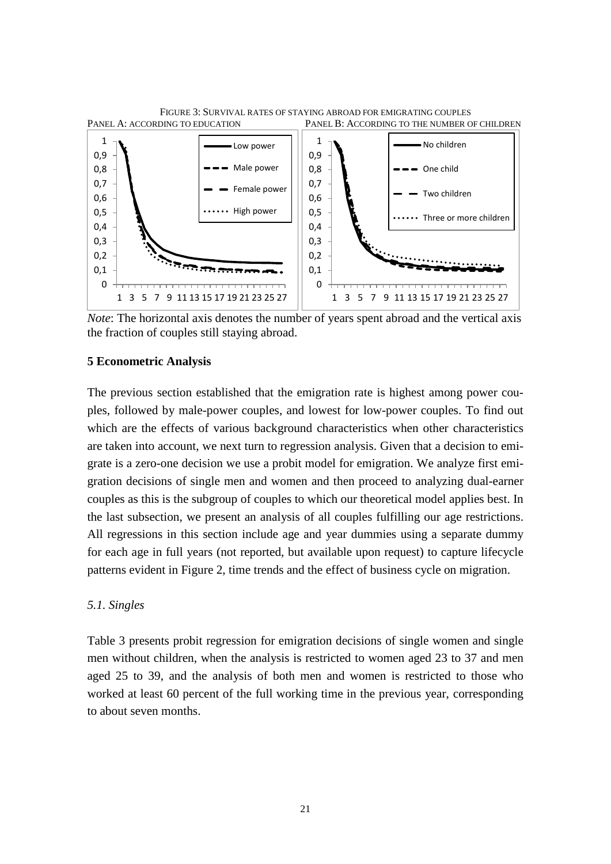

*Note*: The horizontal axis denotes the number of years spent abroad and the vertical axis the fraction of couples still staying abroad.

#### **5 Econometric Analysis**

The previous section established that the emigration rate is highest among power couples, followed by male-power couples, and lowest for low-power couples. To find out which are the effects of various background characteristics when other characteristics are taken into account, we next turn to regression analysis. Given that a decision to emigrate is a zero-one decision we use a probit model for emigration. We analyze first emigration decisions of single men and women and then proceed to analyzing dual-earner couples as this is the subgroup of couples to which our theoretical model applies best. In the last subsection, we present an analysis of all couples fulfilling our age restrictions. All regressions in this section include age and year dummies using a separate dummy for each age in full years (not reported, but available upon request) to capture lifecycle patterns evident in Figure 2, time trends and the effect of business cycle on migration.

#### *5.1. Singles*

Table 3 presents probit regression for emigration decisions of single women and single men without children, when the analysis is restricted to women aged 23 to 37 and men aged 25 to 39, and the analysis of both men and women is restricted to those who worked at least 60 percent of the full working time in the previous year, corresponding to about seven months.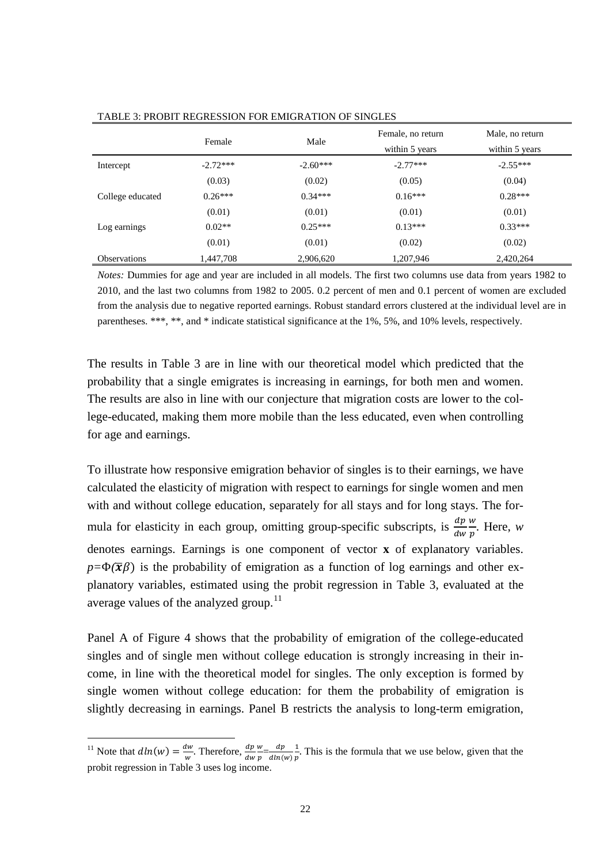|                     | Female     | Male       | Female, no return<br>within 5 years | Male, no return<br>within 5 years |
|---------------------|------------|------------|-------------------------------------|-----------------------------------|
| Intercept           | $-2.72***$ | $-2.60***$ | $-2.77***$                          | $-2.55***$                        |
|                     | (0.03)     | (0.02)     | (0.05)                              | (0.04)                            |
| College educated    | $0.26***$  | $0.34***$  | $0.16***$                           | $0.28***$                         |
|                     | (0.01)     | (0.01)     | (0.01)                              | (0.01)                            |
| Log earnings        | $0.02**$   | $0.25***$  | $0.13***$                           | $0.33***$                         |
|                     | (0.01)     | (0.01)     | (0.02)                              | (0.02)                            |
| <b>Observations</b> | 1.447.708  | 2,906,620  | 1,207,946                           | 2,420,264                         |

TABLE 3: PROBIT REGRESSION FOR EMIGRATION OF SINGLES

*Notes:* Dummies for age and year are included in all models. The first two columns use data from years 1982 to 2010, and the last two columns from 1982 to 2005. 0.2 percent of men and 0.1 percent of women are excluded from the analysis due to negative reported earnings. Robust standard errors clustered at the individual level are in parentheses. \*\*\*, \*\*, and \* indicate statistical significance at the 1%, 5%, and 10% levels, respectively.

The results in Table 3 are in line with our theoretical model which predicted that the probability that a single emigrates is increasing in earnings, for both men and women. The results are also in line with our conjecture that migration costs are lower to the college-educated, making them more mobile than the less educated, even when controlling for age and earnings.

To illustrate how responsive emigration behavior of singles is to their earnings, we have calculated the elasticity of migration with respect to earnings for single women and men with and without college education, separately for all stays and for long stays. The formula for elasticity in each group, omitting group-specific subscripts, is  $\frac{dp}{dw}$  $\frac{w}{\cdot}$  $\frac{w}{p}$ . Here, *w* denotes earnings. Earnings is one component of vector **x** of explanatory variables.  $p = \Phi(\bar{x}\beta)$  is the probability of emigration as a function of log earnings and other explanatory variables, estimated using the probit regression in Table 3, evaluated at the average values of the analyzed group.<sup>[11](#page-18-0)</sup>

Panel A of Figure 4 shows that the probability of emigration of the college-educated singles and of single men without college education is strongly increasing in their income, in line with the theoretical model for singles. The only exception is formed by single women without college education: for them the probability of emigration is slightly decreasing in earnings. Panel B restricts the analysis to long-term emigration,

<span id="page-23-0"></span><sup>&</sup>lt;sup>11</sup> Note that  $dln(w) = \frac{dw}{w}$ . Therefore,  $\frac{dp}{dw}$  $\frac{w}{p} = \frac{dp}{dln(w)}$ 1  $\frac{1}{p}$ . This is the formula that we use below, given that the probit regression in Table 3 uses log income.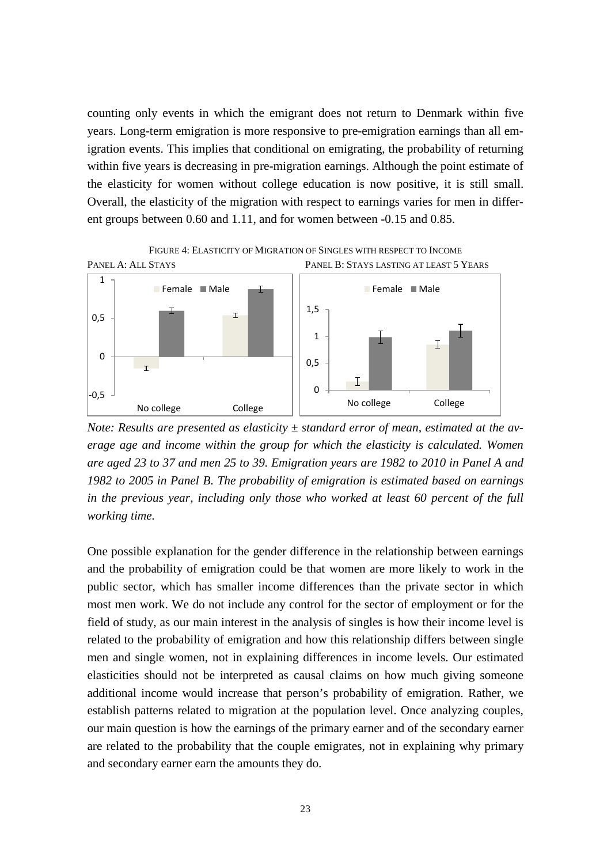counting only events in which the emigrant does not return to Denmark within five years. Long-term emigration is more responsive to pre-emigration earnings than all emigration events. This implies that conditional on emigrating, the probability of returning within five years is decreasing in pre-migration earnings. Although the point estimate of the elasticity for women without college education is now positive, it is still small. Overall, the elasticity of the migration with respect to earnings varies for men in different groups between 0.60 and 1.11, and for women between -0.15 and 0.85.



*Note: Results are presented as elasticity ± standard error of mean, estimated at the average age and income within the group for which the elasticity is calculated. Women are aged 23 to 37 and men 25 to 39. Emigration years are 1982 to 2010 in Panel A and 1982 to 2005 in Panel B. The probability of emigration is estimated based on earnings in the previous year, including only those who worked at least 60 percent of the full working time.*

One possible explanation for the gender difference in the relationship between earnings and the probability of emigration could be that women are more likely to work in the public sector, which has smaller income differences than the private sector in which most men work. We do not include any control for the sector of employment or for the field of study, as our main interest in the analysis of singles is how their income level is related to the probability of emigration and how this relationship differs between single men and single women, not in explaining differences in income levels. Our estimated elasticities should not be interpreted as causal claims on how much giving someone additional income would increase that person's probability of emigration. Rather, we establish patterns related to migration at the population level. Once analyzing couples, our main question is how the earnings of the primary earner and of the secondary earner are related to the probability that the couple emigrates, not in explaining why primary and secondary earner earn the amounts they do.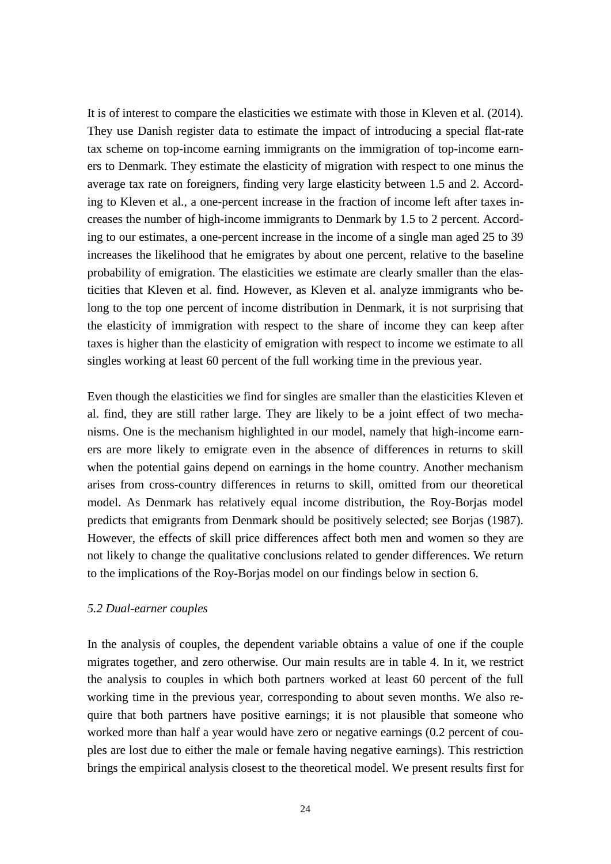It is of interest to compare the elasticities we estimate with those in Kleven et al. (2014). They use Danish register data to estimate the impact of introducing a special flat-rate tax scheme on top-income earning immigrants on the immigration of top-income earners to Denmark. They estimate the elasticity of migration with respect to one minus the average tax rate on foreigners, finding very large elasticity between 1.5 and 2. According to Kleven et al., a one-percent increase in the fraction of income left after taxes increases the number of high-income immigrants to Denmark by 1.5 to 2 percent. According to our estimates, a one-percent increase in the income of a single man aged 25 to 39 increases the likelihood that he emigrates by about one percent, relative to the baseline probability of emigration. The elasticities we estimate are clearly smaller than the elasticities that Kleven et al. find. However, as Kleven et al. analyze immigrants who belong to the top one percent of income distribution in Denmark, it is not surprising that the elasticity of immigration with respect to the share of income they can keep after taxes is higher than the elasticity of emigration with respect to income we estimate to all singles working at least 60 percent of the full working time in the previous year.

Even though the elasticities we find for singles are smaller than the elasticities Kleven et al. find, they are still rather large. They are likely to be a joint effect of two mechanisms. One is the mechanism highlighted in our model, namely that high-income earners are more likely to emigrate even in the absence of differences in returns to skill when the potential gains depend on earnings in the home country. Another mechanism arises from cross-country differences in returns to skill, omitted from our theoretical model. As Denmark has relatively equal income distribution, the Roy-Borjas model predicts that emigrants from Denmark should be positively selected; see Borjas (1987). However, the effects of skill price differences affect both men and women so they are not likely to change the qualitative conclusions related to gender differences. We return to the implications of the Roy-Borjas model on our findings below in section 6.

#### *5.2 Dual-earner couples*

In the analysis of couples, the dependent variable obtains a value of one if the couple migrates together, and zero otherwise. Our main results are in table 4. In it, we restrict the analysis to couples in which both partners worked at least 60 percent of the full working time in the previous year, corresponding to about seven months. We also require that both partners have positive earnings; it is not plausible that someone who worked more than half a year would have zero or negative earnings (0.2 percent of couples are lost due to either the male or female having negative earnings). This restriction brings the empirical analysis closest to the theoretical model. We present results first for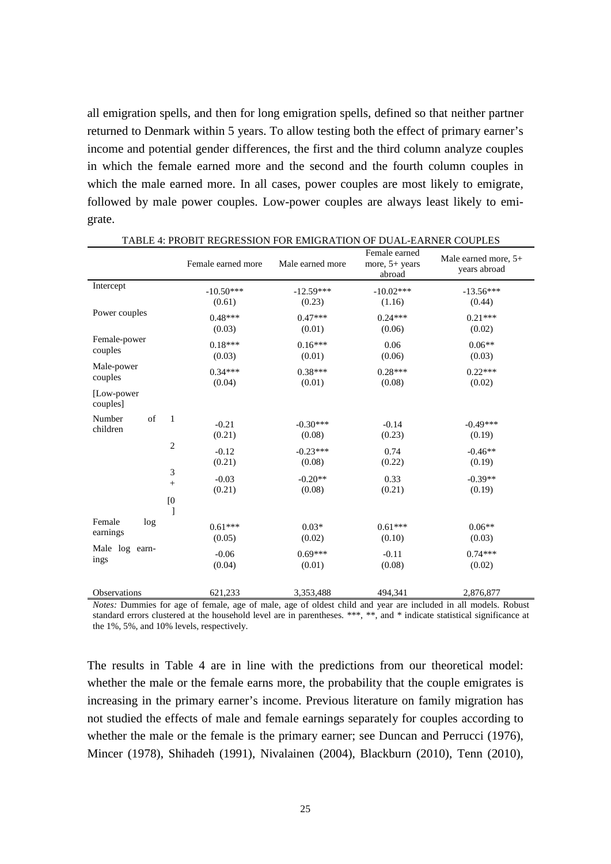all emigration spells, and then for long emigration spells, defined so that neither partner returned to Denmark within 5 years. To allow testing both the effect of primary earner's income and potential gender differences, the first and the third column analyze couples in which the female earned more and the second and the fourth column couples in which the male earned more. In all cases, power couples are most likely to emigrate, followed by male power couples. Low-power couples are always least likely to emigrate.

|                                          | Female earned more  | Male earned more     | Female earned<br>more, $5+$ years<br>abroad | Male earned more, 5+<br>years abroad |
|------------------------------------------|---------------------|----------------------|---------------------------------------------|--------------------------------------|
| Intercept                                | $-10.50***$         | $-12.59***$          | $-10.02***$                                 | $-13.56***$                          |
|                                          | (0.61)              | (0.23)               | (1.16)                                      | (0.44)                               |
| Power couples                            | $0.48***$           | $0.47***$            | $0.24***$                                   | $0.21***$                            |
|                                          | (0.03)              | (0.01)               | (0.06)                                      | (0.02)                               |
| Female-power                             | $0.18***$           | $0.16***$            | 0.06                                        | $0.06**$                             |
| couples                                  | (0.03)              | (0.01)               | (0.06)                                      | (0.03)                               |
| Male-power                               | $0.34***$           | $0.38***$            | $0.28***$                                   | $0.22***$                            |
| couples                                  | (0.04)              | (0.01)               | (0.08)                                      | (0.02)                               |
| [Low-power]<br>couples]                  |                     |                      |                                             |                                      |
| of<br>$\mathbf{1}$<br>Number<br>children | $-0.21$<br>(0.21)   | $-0.30***$<br>(0.08) | $-0.14$<br>(0.23)                           | $-0.49***$<br>(0.19)                 |
| $\mathbf{2}$                             | $-0.12$             | $-0.23***$           | 0.74                                        | $-0.46**$                            |
|                                          | (0.21)              | (0.08)               | (0.22)                                      | (0.19)                               |
| 3                                        | $-0.03$             | $-0.20**$            | 0.33                                        | $-0.39**$                            |
| $\! + \!\!\!\!$                          | (0.21)              | (0.08)               | (0.21)                                      | (0.19)                               |
| [0]<br>1                                 |                     |                      |                                             |                                      |
| Female<br>log<br>earnings                | $0.61***$<br>(0.05) | $0.03*$<br>(0.02)    | $0.61***$<br>(0.10)                         | $0.06**$<br>(0.03)                   |
| Male log earn-                           | $-0.06$             | $0.69***$            | $-0.11$                                     | $0.74***$                            |
| ings                                     | (0.04)              | (0.01)               | (0.08)                                      | (0.02)                               |
| Observations                             | 621,233             | 3,353,488            | 494,341                                     | 2,876,877                            |

*Notes:* Dummies for age of female, age of male, age of oldest child and year are included in all models. Robust standard errors clustered at the household level are in parentheses. \*\*\*, \*\*, and \* indicate statistical significance at the 1%, 5%, and 10% levels, respectively.

The results in Table 4 are in line with the predictions from our theoretical model: whether the male or the female earns more, the probability that the couple emigrates is increasing in the primary earner's income. Previous literature on family migration has not studied the effects of male and female earnings separately for couples according to whether the male or the female is the primary earner; see Duncan and Perrucci (1976), Mincer (1978), Shihadeh (1991), Nivalainen (2004), Blackburn (2010), Tenn (2010),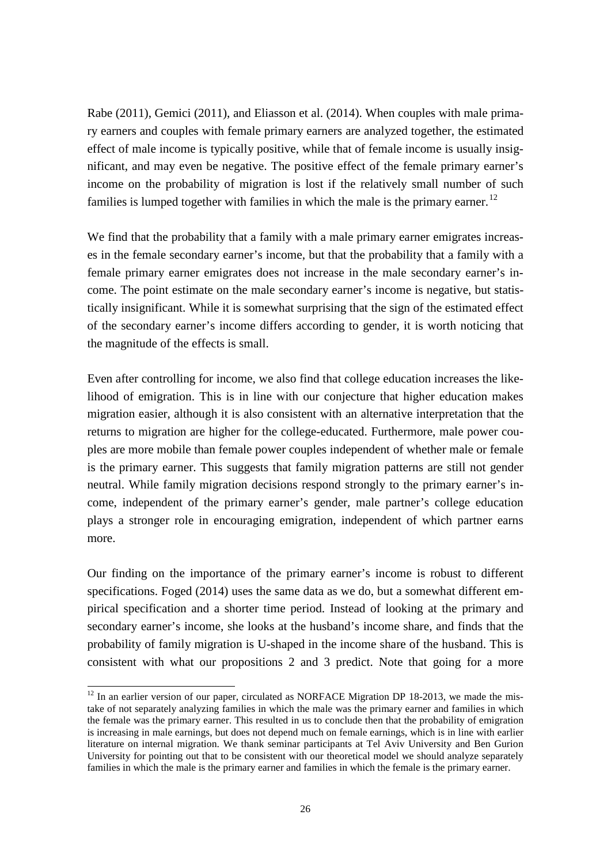Rabe (2011), Gemici (2011), and Eliasson et al. (2014). When couples with male primary earners and couples with female primary earners are analyzed together, the estimated effect of male income is typically positive, while that of female income is usually insignificant, and may even be negative. The positive effect of the female primary earner's income on the probability of migration is lost if the relatively small number of such families is lumped together with families in which the male is the primary earner.<sup>[12](#page-23-0)</sup>

We find that the probability that a family with a male primary earner emigrates increases in the female secondary earner's income, but that the probability that a family with a female primary earner emigrates does not increase in the male secondary earner's income. The point estimate on the male secondary earner's income is negative, but statistically insignificant. While it is somewhat surprising that the sign of the estimated effect of the secondary earner's income differs according to gender, it is worth noticing that the magnitude of the effects is small.

Even after controlling for income, we also find that college education increases the likelihood of emigration. This is in line with our conjecture that higher education makes migration easier, although it is also consistent with an alternative interpretation that the returns to migration are higher for the college-educated. Furthermore, male power couples are more mobile than female power couples independent of whether male or female is the primary earner. This suggests that family migration patterns are still not gender neutral. While family migration decisions respond strongly to the primary earner's income, independent of the primary earner's gender, male partner's college education plays a stronger role in encouraging emigration, independent of which partner earns more.

Our finding on the importance of the primary earner's income is robust to different specifications. Foged (2014) uses the same data as we do, but a somewhat different empirical specification and a shorter time period. Instead of looking at the primary and secondary earner's income, she looks at the husband's income share, and finds that the probability of family migration is U-shaped in the income share of the husband. This is consistent with what our propositions 2 and 3 predict. Note that going for a more

<sup>&</sup>lt;sup>12</sup> In an earlier version of our paper, circulated as NORFACE Migration DP 18-2013, we made the mistake of not separately analyzing families in which the male was the primary earner and families in which the female was the primary earner. This resulted in us to conclude then that the probability of emigration is increasing in male earnings, but does not depend much on female earnings, which is in line with earlier literature on internal migration. We thank seminar participants at Tel Aviv University and Ben Gurion University for pointing out that to be consistent with our theoretical model we should analyze separately families in which the male is the primary earner and families in which the female is the primary earner.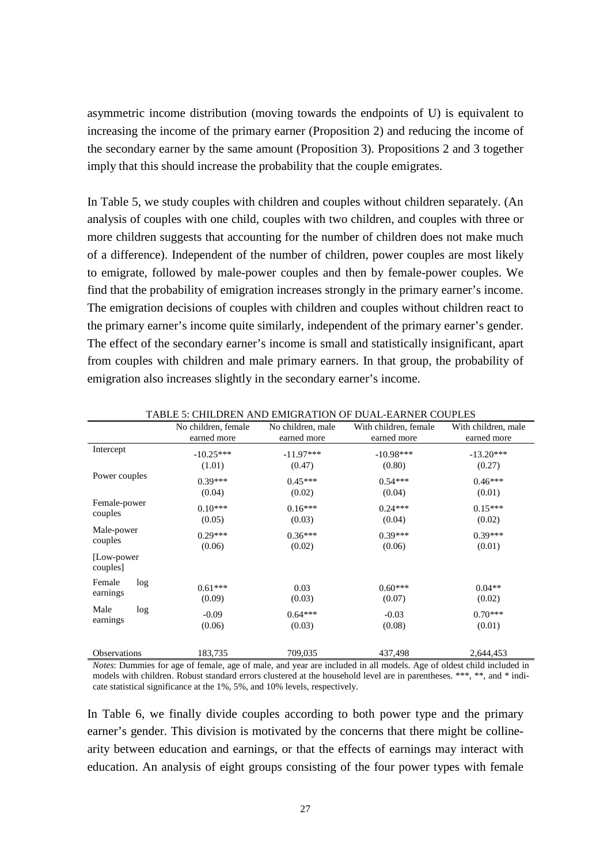asymmetric income distribution (moving towards the endpoints of U) is equivalent to increasing the income of the primary earner (Proposition 2) and reducing the income of the secondary earner by the same amount (Proposition 3). Propositions 2 and 3 together imply that this should increase the probability that the couple emigrates.

In Table 5, we study couples with children and couples without children separately. (An analysis of couples with one child, couples with two children, and couples with three or more children suggests that accounting for the number of children does not make much of a difference). Independent of the number of children, power couples are most likely to emigrate, followed by male-power couples and then by female-power couples. We find that the probability of emigration increases strongly in the primary earner's income. The emigration decisions of couples with children and couples without children react to the primary earner's income quite similarly, independent of the primary earner's gender. The effect of the secondary earner's income is small and statistically insignificant, apart from couples with children and male primary earners. In that group, the probability of emigration also increases slightly in the secondary earner's income.

| TABLE 9. CHILDREN AND LIMIORATION OF DUAL-LARNER COOFLED |                       |                       |                       |                       |  |
|----------------------------------------------------------|-----------------------|-----------------------|-----------------------|-----------------------|--|
|                                                          | No children, female   | No children, male     | With children, female | With children, male   |  |
|                                                          | earned more           | earned more           | earned more           | earned more           |  |
| Intercept                                                | $-10.25***$<br>(1.01) | $-11.97***$<br>(0.47) | $-10.98***$<br>(0.80) | $-13.20***$<br>(0.27) |  |
| Power couples                                            | $0.39***$             | $0.45***$             | $0.54***$             | $0.46***$             |  |
| Female-power<br>couples                                  | (0.04)<br>$0.10***$   | (0.02)<br>$0.16***$   | (0.04)<br>$0.24***$   | (0.01)<br>$0.15***$   |  |
|                                                          | (0.05)                | (0.03)                | (0.04)                | (0.02)                |  |
| Male-power<br>couples                                    | $0.29***$<br>(0.06)   | $0.36***$<br>(0.02)   | $0.39***$<br>(0.06)   | $0.39***$<br>(0.01)   |  |
| [Low-power]<br>couples]                                  |                       |                       |                       |                       |  |
| Female<br>log<br>earnings                                | $0.61***$<br>(0.09)   | 0.03<br>(0.03)        | $0.60***$<br>(0.07)   | $0.04**$<br>(0.02)    |  |
| Male<br>log<br>earnings                                  | $-0.09$<br>(0.06)     | $0.64***$<br>(0.03)   | $-0.03$<br>(0.08)     | $0.70***$<br>(0.01)   |  |
| Observations                                             | 183,735               | 709,035               | 437,498               | 2,644,453             |  |

TABLE 5: CHILDREN AND EMIGRATION OF DUAL-EARNER COUPLES

*Notes*: Dummies for age of female, age of male, and year are included in all models. Age of oldest child included in models with children. Robust standard errors clustered at the household level are in parentheses. \*\*\*, \*\*, and \* indicate statistical significance at the 1%, 5%, and 10% levels, respectively.

In Table 6, we finally divide couples according to both power type and the primary earner's gender. This division is motivated by the concerns that there might be collinearity between education and earnings, or that the effects of earnings may interact with education. An analysis of eight groups consisting of the four power types with female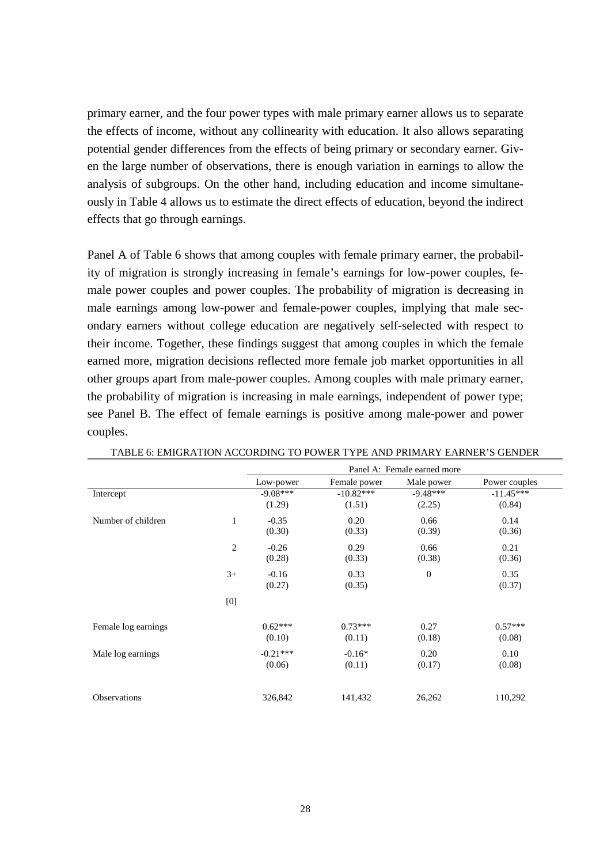primary earner, and the four power types with male primary earner allows us to separate the effects of income, without any collinearity with education. It also allows separating potential gender differences from the effects of being primary or secondary earner. Given the large number of observations, there is enough variation in earnings to allow the analysis of subgroups. On the other hand, including education and income simultaneously in Table 4 allows us to estimate the direct effects of education, beyond the indirect effects that go through earnings.

Panel A of Table 6 shows that among couples with female primary earner, the probability of migration is strongly increasing in female's earnings for low-power couples, female power couples and power couples. The probability of migration is decreasing in male earnings among low-power and female-power couples, implying that male secondary earners without college education are negatively self-selected with respect to their income. Together, these findings suggest that among couples in which the female earned more, migration decisions reflected more female job market opportunities in all other groups apart from male-power couples. Among couples with male primary earner, the probability of migration is increasing in male earnings, independent of power type; see Panel B. The effect of female earnings is positive among male-power and power couples.

|                     |              | Panel A: Female earned more |              |                |               |
|---------------------|--------------|-----------------------------|--------------|----------------|---------------|
|                     |              | Low-power                   | Female power | Male power     | Power couples |
| Intercept           |              | $-9.08***$                  | $-10.82***$  | $-9.48***$     | $-11.45***$   |
|                     |              | (1.29)                      | (1.51)       | (2.25)         | (0.84)        |
| Number of children  | $\mathbf{1}$ | $-0.35$                     | 0.20         | 0.66           | 0.14          |
|                     |              | (0.30)                      | (0.33)       | (0.39)         | (0.36)        |
|                     | 2            | $-0.26$                     | 0.29         | 0.66           | 0.21          |
|                     |              | (0.28)                      | (0.33)       | (0.38)         | (0.36)        |
|                     | $3+$         | $-0.16$                     | 0.33         | $\overline{0}$ | 0.35          |
|                     |              | (0.27)                      | (0.35)       |                | (0.37)        |
|                     | [0]          |                             |              |                |               |
| Female log earnings |              | $0.62***$                   | $0.73***$    | 0.27           | $0.57***$     |
|                     |              | (0.10)                      | (0.11)       | (0.18)         | (0.08)        |
| Male log earnings   |              | $-0.21***$                  | $-0.16*$     | 0.20           | 0.10          |
|                     |              | (0.06)                      | (0.11)       | (0.17)         | (0.08)        |
| <b>Observations</b> |              | 326,842                     | 141,432      | 26,262         | 110,292       |

TABLE 6: EMIGRATION ACCORDING TO POWER TYPE AND PRIMARY EARNER'S GENDER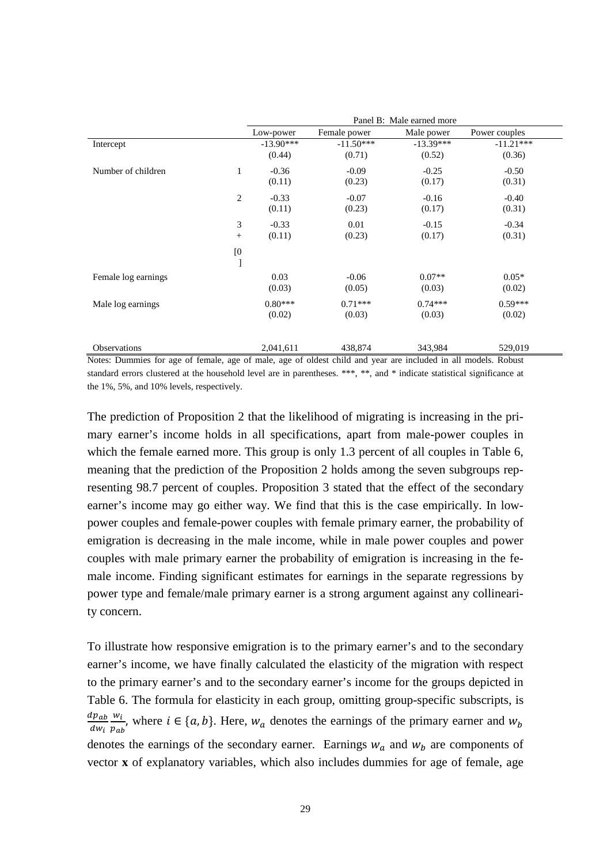|                     |                  | Panel B: Male earned more |              |             |               |  |
|---------------------|------------------|---------------------------|--------------|-------------|---------------|--|
|                     |                  | Low-power                 | Female power | Male power  | Power couples |  |
| Intercept           |                  | $-13.90***$               | $-11.50***$  | $-13.39***$ | $-11.21***$   |  |
|                     |                  | (0.44)                    | (0.71)       | (0.52)      | (0.36)        |  |
| Number of children  | $\mathbf{1}$     | $-0.36$                   | $-0.09$      | $-0.25$     | $-0.50$       |  |
|                     |                  | (0.11)                    | (0.23)       | (0.17)      | (0.31)        |  |
|                     | 2                | $-0.33$                   | $-0.07$      | $-0.16$     | $-0.40$       |  |
|                     |                  | (0.11)                    | (0.23)       | (0.17)      | (0.31)        |  |
|                     | 3                | $-0.33$                   | 0.01         | $-0.15$     | $-0.34$       |  |
|                     | $^{+}$           | (0.11)                    | (0.23)       | (0.17)      | (0.31)        |  |
|                     | $\left[0\right]$ |                           |              |             |               |  |
|                     | ı                |                           |              |             |               |  |
| Female log earnings |                  | 0.03                      | $-0.06$      | $0.07**$    | $0.05*$       |  |
|                     |                  | (0.03)                    | (0.05)       | (0.03)      | (0.02)        |  |
| Male log earnings   |                  | $0.80***$                 | $0.71***$    | $0.74***$   | $0.59***$     |  |
|                     |                  | (0.02)                    | (0.03)       | (0.03)      | (0.02)        |  |
| <b>Observations</b> |                  | 2,041,611                 | 438,874      | 343,984     | 529,019       |  |
|                     |                  |                           |              |             |               |  |

Notes: Dummies for age of female, age of male, age of oldest child and year are included in all models. Robust standard errors clustered at the household level are in parentheses. \*\*\*, \*\*, and \* indicate statistical significance at the 1%, 5%, and 10% levels, respectively.

The prediction of Proposition 2 that the likelihood of migrating is increasing in the primary earner's income holds in all specifications, apart from male-power couples in which the female earned more. This group is only 1.3 percent of all couples in Table 6, meaning that the prediction of the Proposition 2 holds among the seven subgroups representing 98.7 percent of couples. Proposition 3 stated that the effect of the secondary earner's income may go either way. We find that this is the case empirically. In lowpower couples and female-power couples with female primary earner, the probability of emigration is decreasing in the male income, while in male power couples and power couples with male primary earner the probability of emigration is increasing in the female income. Finding significant estimates for earnings in the separate regressions by power type and female/male primary earner is a strong argument against any collinearity concern.

To illustrate how responsive emigration is to the primary earner's and to the secondary earner's income, we have finally calculated the elasticity of the migration with respect to the primary earner's and to the secondary earner's income for the groups depicted in Table 6. The formula for elasticity in each group, omitting group-specific subscripts, is  $ap_{ab}$  $dw_i$  $w_i$  $\frac{w_l}{p_{ab}}$ , where  $i \in \{a, b\}$ . Here,  $w_a$  denotes the earnings of the primary earner and  $w_b$ denotes the earnings of the secondary earner. Earnings  $w_a$  and  $w_b$  are components of vector **x** of explanatory variables, which also includes dummies for age of female, age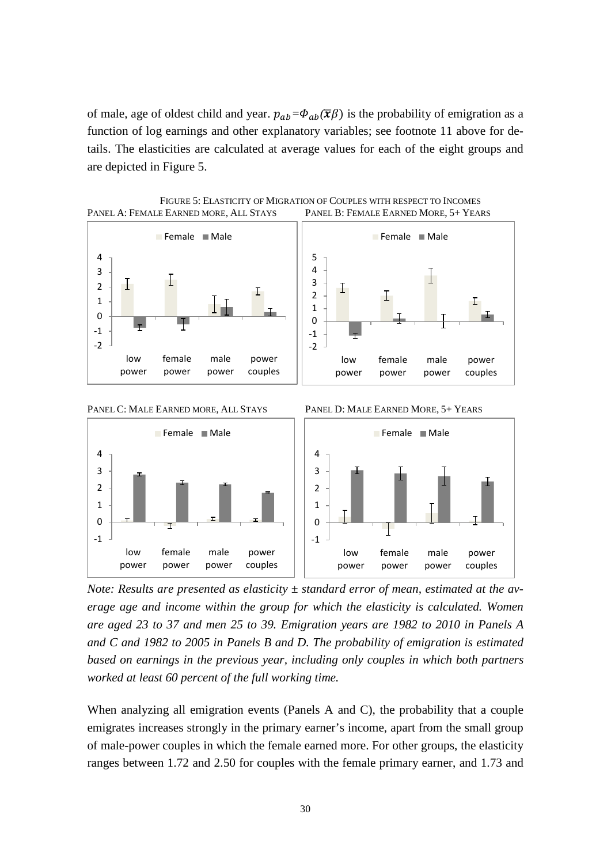of male, age of oldest child and year.  $p_{ab} = \Phi_{ab}(\overline{x}\beta)$  is the probability of emigration as a function of log earnings and other explanatory variables; see footnote 11 above for details. The elasticities are calculated at average values for each of the eight groups and are depicted in Figure 5.







*Note: Results are presented as elasticity ± standard error of mean, estimated at the average age and income within the group for which the elasticity is calculated. Women are aged 23 to 37 and men 25 to 39. Emigration years are 1982 to 2010 in Panels A and C and 1982 to 2005 in Panels B and D. The probability of emigration is estimated based on earnings in the previous year, including only couples in which both partners worked at least 60 percent of the full working time.*

When analyzing all emigration events (Panels A and C), the probability that a couple emigrates increases strongly in the primary earner's income, apart from the small group of male-power couples in which the female earned more. For other groups, the elasticity ranges between 1.72 and 2.50 for couples with the female primary earner, and 1.73 and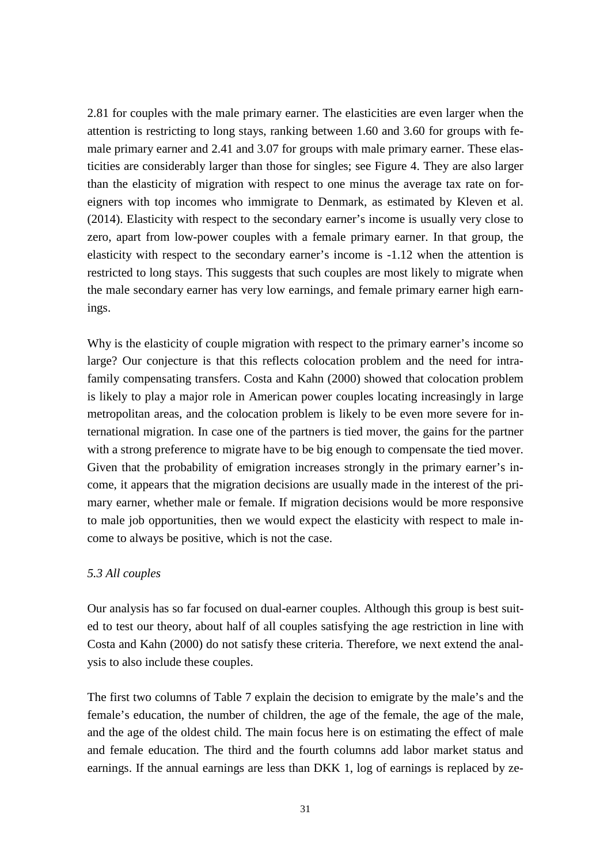2.81 for couples with the male primary earner. The elasticities are even larger when the attention is restricting to long stays, ranking between 1.60 and 3.60 for groups with female primary earner and 2.41 and 3.07 for groups with male primary earner. These elasticities are considerably larger than those for singles; see Figure 4. They are also larger than the elasticity of migration with respect to one minus the average tax rate on foreigners with top incomes who immigrate to Denmark, as estimated by Kleven et al. (2014). Elasticity with respect to the secondary earner's income is usually very close to zero, apart from low-power couples with a female primary earner. In that group, the elasticity with respect to the secondary earner's income is -1.12 when the attention is restricted to long stays. This suggests that such couples are most likely to migrate when the male secondary earner has very low earnings, and female primary earner high earnings.

Why is the elasticity of couple migration with respect to the primary earner's income so large? Our conjecture is that this reflects colocation problem and the need for intrafamily compensating transfers. Costa and Kahn (2000) showed that colocation problem is likely to play a major role in American power couples locating increasingly in large metropolitan areas, and the colocation problem is likely to be even more severe for international migration. In case one of the partners is tied mover, the gains for the partner with a strong preference to migrate have to be big enough to compensate the tied mover. Given that the probability of emigration increases strongly in the primary earner's income, it appears that the migration decisions are usually made in the interest of the primary earner, whether male or female. If migration decisions would be more responsive to male job opportunities, then we would expect the elasticity with respect to male income to always be positive, which is not the case.

#### *5.3 All couples*

Our analysis has so far focused on dual-earner couples. Although this group is best suited to test our theory, about half of all couples satisfying the age restriction in line with Costa and Kahn (2000) do not satisfy these criteria. Therefore, we next extend the analysis to also include these couples.

The first two columns of Table 7 explain the decision to emigrate by the male's and the female's education, the number of children, the age of the female, the age of the male, and the age of the oldest child. The main focus here is on estimating the effect of male and female education. The third and the fourth columns add labor market status and earnings. If the annual earnings are less than DKK 1, log of earnings is replaced by ze-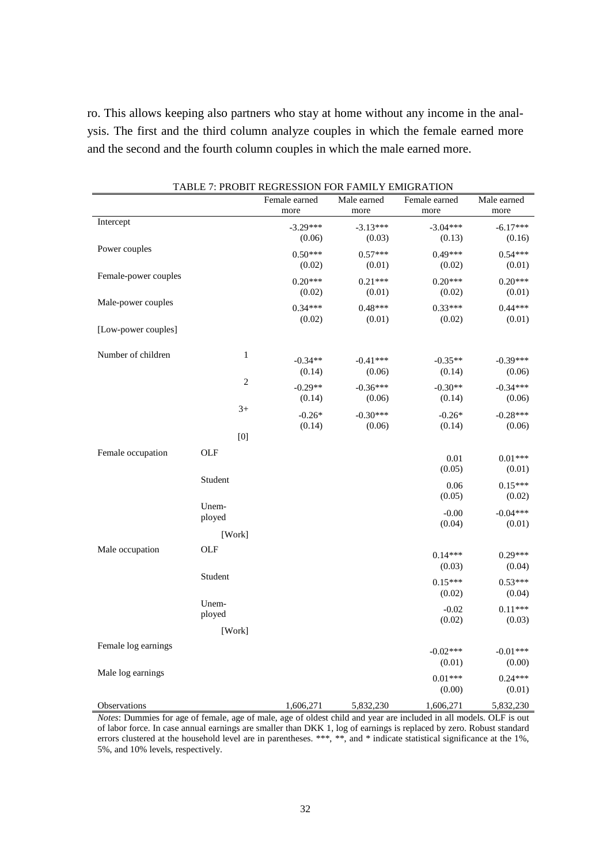ro. This allows keeping also partners who stay at home without any income in the analysis. The first and the third column analyze couples in which the female earned more and the second and the fourth column couples in which the male earned more.

|                              |                | Female earned | Male earned | Female earned | Male earned |
|------------------------------|----------------|---------------|-------------|---------------|-------------|
|                              |                | more          | more        | more          | more        |
| Intercept                    |                | $-3.29***$    | $-3.13***$  | $-3.04***$    | $-6.17***$  |
|                              |                | (0.06)        | (0.03)      | (0.13)        | (0.16)      |
| Power couples                |                | $0.50***$     | $0.57***$   | $0.49***$     | $0.54***$   |
|                              |                | (0.02)        | (0.01)      | (0.02)        | (0.01)      |
| Female-power couples         |                | $0.20***$     | $0.21***$   | $0.20***$     | $0.20***$   |
|                              |                |               |             |               | (0.01)      |
| Male-power couples           |                | (0.02)        | (0.01)      | (0.02)        |             |
|                              |                | $0.34***$     | $0.48***$   | $0.33***$     | $0.44***$   |
|                              |                | (0.02)        | (0.01)      | (0.02)        | (0.01)      |
| [Low-power couples]          |                |               |             |               |             |
| Number of children           | $\mathbf{1}$   |               |             |               | $-0.39***$  |
|                              |                | $-0.34**$     | $-0.41***$  | $-0.35**$     | (0.06)      |
|                              | $\overline{c}$ | (0.14)        | (0.06)      | (0.14)        |             |
|                              |                | $-0.29**$     | $-0.36***$  | $-0.30**$     | $-0.34***$  |
|                              |                | (0.14)        | (0.06)      | (0.14)        | (0.06)      |
|                              | $3+$           | $-0.26*$      | $-0.30***$  | $-0.26*$      | $-0.28***$  |
|                              |                | (0.14)        | (0.06)      | (0.14)        | (0.06)      |
|                              | [0]            |               |             |               |             |
| Female occupation            | <b>OLF</b>     |               |             |               |             |
|                              |                |               |             | 0.01          | $0.01***$   |
|                              |                |               |             | (0.05)        | (0.01)      |
|                              | Student        |               |             | 0.06          | $0.15***$   |
|                              |                |               |             | (0.05)        | (0.02)      |
|                              | Unem-          |               |             | $-0.00$       | $-0.04***$  |
|                              | ployed         |               |             | (0.04)        | (0.01)      |
|                              | [Work]         |               |             |               |             |
| Male occupation              | OLF            |               |             |               |             |
|                              |                |               |             | $0.14***$     | $0.29***$   |
|                              | Student        |               |             | (0.03)        | (0.04)      |
|                              |                |               |             | $0.15***$     | $0.53***$   |
|                              |                |               |             | (0.02)        | (0.04)      |
|                              | Unem-          |               |             | $-0.02$       | $0.11***$   |
|                              | ployed         |               |             | (0.02)        | (0.03)      |
|                              | [Work]         |               |             |               |             |
| Female log earnings          |                |               |             | $-0.02***$    | $-0.01***$  |
|                              |                |               |             | (0.01)        | (0.00)      |
| Male log earnings            |                |               |             |               |             |
|                              |                |               |             | $0.01***$     | $0.24***$   |
|                              |                |               |             | (0.00)        | (0.01)      |
| Observations<br>$\mathbf{r}$ |                | 1,606,271     | 5,832,230   | 1,606,271     | 5,832,230   |

*Notes*: Dummies for age of female, age of male, age of oldest child and year are included in all models. OLF is out of labor force. In case annual earnings are smaller than DKK 1, log of earnings is replaced by zero. Robust standard errors clustered at the household level are in parentheses. \*\*\*, \*\*, and \* indicate statistical significance at the 1%, 5%, and 10% levels, respectively.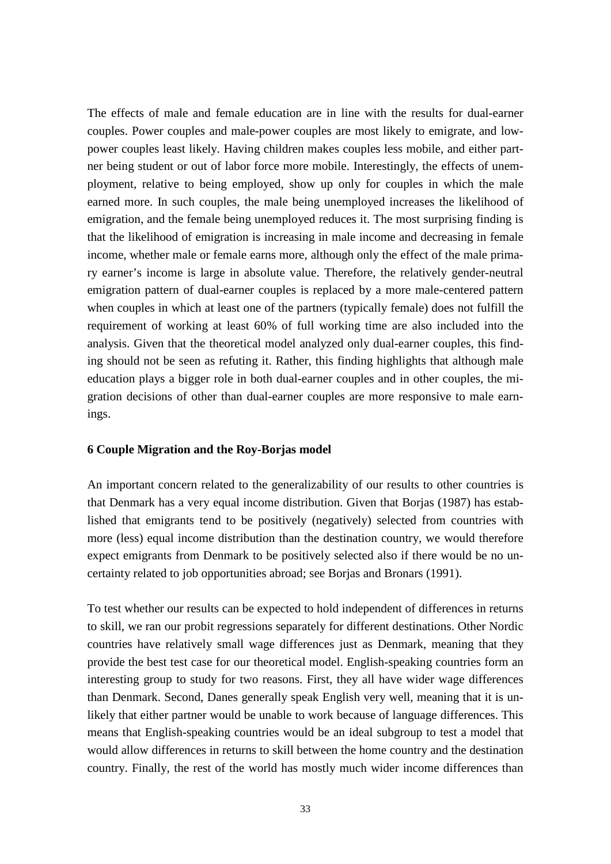The effects of male and female education are in line with the results for dual-earner couples. Power couples and male-power couples are most likely to emigrate, and lowpower couples least likely. Having children makes couples less mobile, and either partner being student or out of labor force more mobile. Interestingly, the effects of unemployment, relative to being employed, show up only for couples in which the male earned more. In such couples, the male being unemployed increases the likelihood of emigration, and the female being unemployed reduces it. The most surprising finding is that the likelihood of emigration is increasing in male income and decreasing in female income, whether male or female earns more, although only the effect of the male primary earner's income is large in absolute value. Therefore, the relatively gender-neutral emigration pattern of dual-earner couples is replaced by a more male-centered pattern when couples in which at least one of the partners (typically female) does not fulfill the requirement of working at least 60% of full working time are also included into the analysis. Given that the theoretical model analyzed only dual-earner couples, this finding should not be seen as refuting it. Rather, this finding highlights that although male education plays a bigger role in both dual-earner couples and in other couples, the migration decisions of other than dual-earner couples are more responsive to male earnings.

#### **6 Couple Migration and the Roy-Borjas model**

An important concern related to the generalizability of our results to other countries is that Denmark has a very equal income distribution. Given that Borjas (1987) has established that emigrants tend to be positively (negatively) selected from countries with more (less) equal income distribution than the destination country, we would therefore expect emigrants from Denmark to be positively selected also if there would be no uncertainty related to job opportunities abroad; see Borjas and Bronars (1991).

To test whether our results can be expected to hold independent of differences in returns to skill, we ran our probit regressions separately for different destinations. Other Nordic countries have relatively small wage differences just as Denmark, meaning that they provide the best test case for our theoretical model. English-speaking countries form an interesting group to study for two reasons. First, they all have wider wage differences than Denmark. Second, Danes generally speak English very well, meaning that it is unlikely that either partner would be unable to work because of language differences. This means that English-speaking countries would be an ideal subgroup to test a model that would allow differences in returns to skill between the home country and the destination country. Finally, the rest of the world has mostly much wider income differences than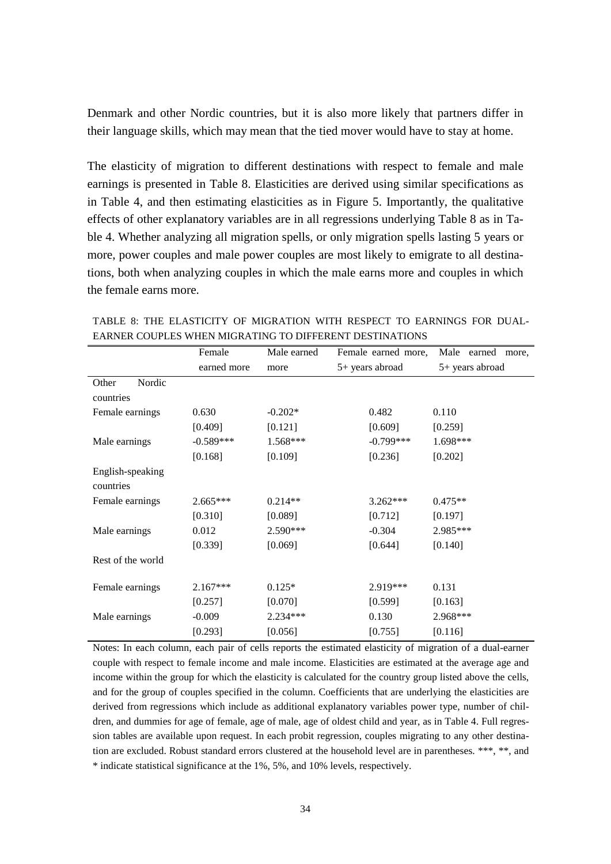Denmark and other Nordic countries, but it is also more likely that partners differ in their language skills, which may mean that the tied mover would have to stay at home.

The elasticity of migration to different destinations with respect to female and male earnings is presented in Table 8. Elasticities are derived using similar specifications as in Table 4, and then estimating elasticities as in Figure 5. Importantly, the qualitative effects of other explanatory variables are in all regressions underlying Table 8 as in Table 4. Whether analyzing all migration spells, or only migration spells lasting 5 years or more, power couples and male power couples are most likely to emigrate to all destinations, both when analyzing couples in which the male earns more and couples in which the female earns more.

|                   | Female      | Male earned | Female earned more, | Male earned<br>more, |
|-------------------|-------------|-------------|---------------------|----------------------|
|                   | earned more | more        | 5+ years abroad     | 5+ years abroad      |
| Nordic<br>Other   |             |             |                     |                      |
| countries         |             |             |                     |                      |
| Female earnings   | 0.630       | $-0.202*$   | 0.482               | 0.110                |
|                   | [0.409]     | [0.121]     | [0.609]             | [0.259]              |
| Male earnings     | $-0.589***$ | $1.568***$  | $-0.799***$         | 1.698***             |
|                   | [0.168]     | [0.109]     | [0.236]             | [0.202]              |
| English-speaking  |             |             |                     |                      |
| countries         |             |             |                     |                      |
| Female earnings   | $2.665***$  | $0.214**$   | $3.262***$          | $0.475**$            |
|                   | [0.310]     | [0.089]     | [0.712]             | [0.197]              |
| Male earnings     | 0.012       | 2.590***    | $-0.304$            | 2.985***             |
|                   | [0.339]     | [0.069]     | [0.644]             | [0.140]              |
| Rest of the world |             |             |                     |                      |
|                   |             |             |                     |                      |
| Female earnings   | $2.167***$  | $0.125*$    | 2.919***            | 0.131                |
|                   | [0.257]     | [0.070]     | [0.599]             | [0.163]              |
| Male earnings     | $-0.009$    | 2.234***    | 0.130               | 2.968***             |
|                   | [0.293]     | [0.056]     | [0.755]             | [0.116]              |

TABLE 8: THE ELASTICITY OF MIGRATION WITH RESPECT TO EARNINGS FOR DUAL-EARNER COUPLES WHEN MIGRATING TO DIFFERENT DESTINATIONS

Notes: In each column, each pair of cells reports the estimated elasticity of migration of a dual-earner couple with respect to female income and male income. Elasticities are estimated at the average age and income within the group for which the elasticity is calculated for the country group listed above the cells, and for the group of couples specified in the column. Coefficients that are underlying the elasticities are derived from regressions which include as additional explanatory variables power type, number of children, and dummies for age of female, age of male, age of oldest child and year, as in Table 4. Full regression tables are available upon request. In each probit regression, couples migrating to any other destination are excluded. Robust standard errors clustered at the household level are in parentheses. \*\*\*, \*\*, and \* indicate statistical significance at the 1%, 5%, and 10% levels, respectively.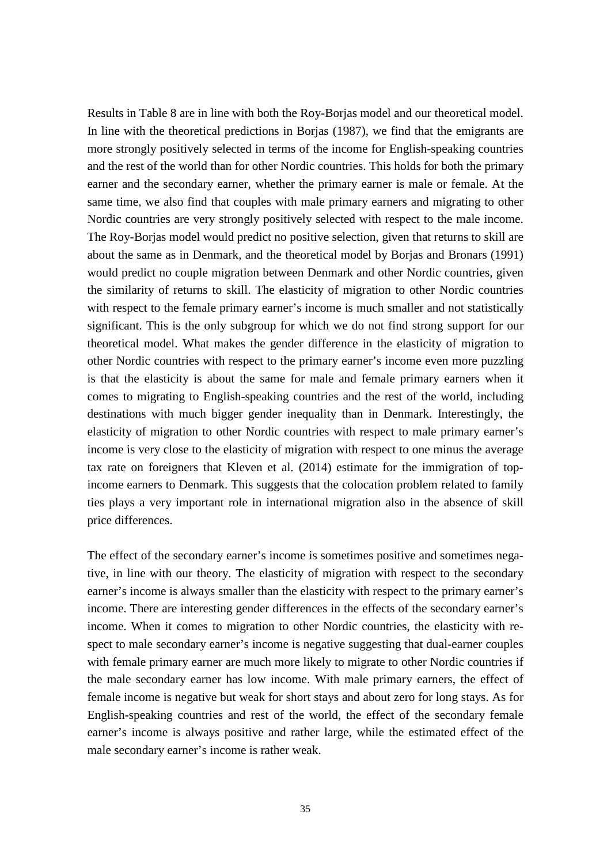Results in Table 8 are in line with both the Roy-Borjas model and our theoretical model. In line with the theoretical predictions in Borjas (1987), we find that the emigrants are more strongly positively selected in terms of the income for English-speaking countries and the rest of the world than for other Nordic countries. This holds for both the primary earner and the secondary earner, whether the primary earner is male or female. At the same time, we also find that couples with male primary earners and migrating to other Nordic countries are very strongly positively selected with respect to the male income. The Roy-Borjas model would predict no positive selection, given that returns to skill are about the same as in Denmark, and the theoretical model by Borjas and Bronars (1991) would predict no couple migration between Denmark and other Nordic countries, given the similarity of returns to skill. The elasticity of migration to other Nordic countries with respect to the female primary earner's income is much smaller and not statistically significant. This is the only subgroup for which we do not find strong support for our theoretical model. What makes the gender difference in the elasticity of migration to other Nordic countries with respect to the primary earner's income even more puzzling is that the elasticity is about the same for male and female primary earners when it comes to migrating to English-speaking countries and the rest of the world, including destinations with much bigger gender inequality than in Denmark. Interestingly, the elasticity of migration to other Nordic countries with respect to male primary earner's income is very close to the elasticity of migration with respect to one minus the average tax rate on foreigners that Kleven et al. (2014) estimate for the immigration of topincome earners to Denmark. This suggests that the colocation problem related to family ties plays a very important role in international migration also in the absence of skill price differences.

The effect of the secondary earner's income is sometimes positive and sometimes negative, in line with our theory. The elasticity of migration with respect to the secondary earner's income is always smaller than the elasticity with respect to the primary earner's income. There are interesting gender differences in the effects of the secondary earner's income. When it comes to migration to other Nordic countries, the elasticity with respect to male secondary earner's income is negative suggesting that dual-earner couples with female primary earner are much more likely to migrate to other Nordic countries if the male secondary earner has low income. With male primary earners, the effect of female income is negative but weak for short stays and about zero for long stays. As for English-speaking countries and rest of the world, the effect of the secondary female earner's income is always positive and rather large, while the estimated effect of the male secondary earner's income is rather weak.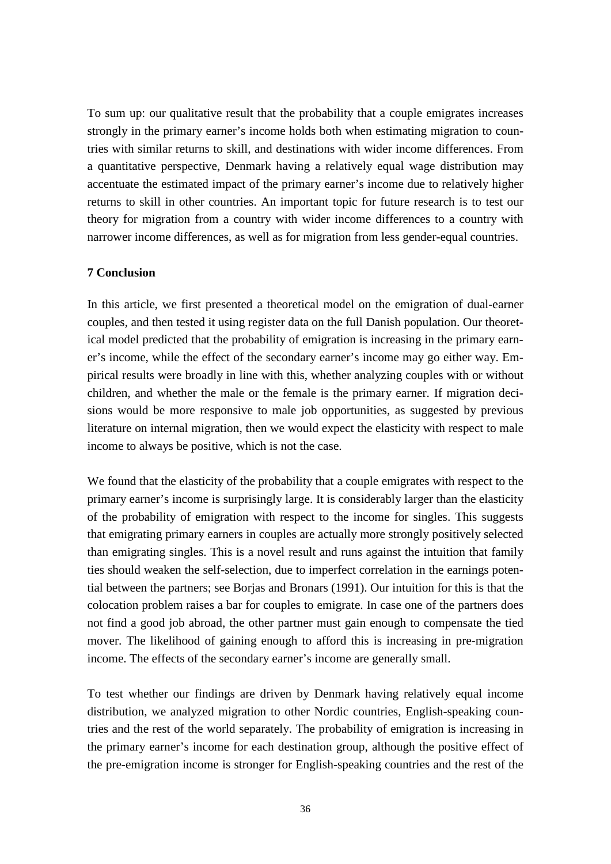To sum up: our qualitative result that the probability that a couple emigrates increases strongly in the primary earner's income holds both when estimating migration to countries with similar returns to skill, and destinations with wider income differences. From a quantitative perspective, Denmark having a relatively equal wage distribution may accentuate the estimated impact of the primary earner's income due to relatively higher returns to skill in other countries. An important topic for future research is to test our theory for migration from a country with wider income differences to a country with narrower income differences, as well as for migration from less gender-equal countries.

#### **7 Conclusion**

In this article, we first presented a theoretical model on the emigration of dual-earner couples, and then tested it using register data on the full Danish population. Our theoretical model predicted that the probability of emigration is increasing in the primary earner's income, while the effect of the secondary earner's income may go either way. Empirical results were broadly in line with this, whether analyzing couples with or without children, and whether the male or the female is the primary earner. If migration decisions would be more responsive to male job opportunities, as suggested by previous literature on internal migration, then we would expect the elasticity with respect to male income to always be positive, which is not the case.

We found that the elasticity of the probability that a couple emigrates with respect to the primary earner's income is surprisingly large. It is considerably larger than the elasticity of the probability of emigration with respect to the income for singles. This suggests that emigrating primary earners in couples are actually more strongly positively selected than emigrating singles. This is a novel result and runs against the intuition that family ties should weaken the self-selection, due to imperfect correlation in the earnings potential between the partners; see Borjas and Bronars (1991). Our intuition for this is that the colocation problem raises a bar for couples to emigrate. In case one of the partners does not find a good job abroad, the other partner must gain enough to compensate the tied mover. The likelihood of gaining enough to afford this is increasing in pre-migration income. The effects of the secondary earner's income are generally small.

To test whether our findings are driven by Denmark having relatively equal income distribution, we analyzed migration to other Nordic countries, English-speaking countries and the rest of the world separately. The probability of emigration is increasing in the primary earner's income for each destination group, although the positive effect of the pre-emigration income is stronger for English-speaking countries and the rest of the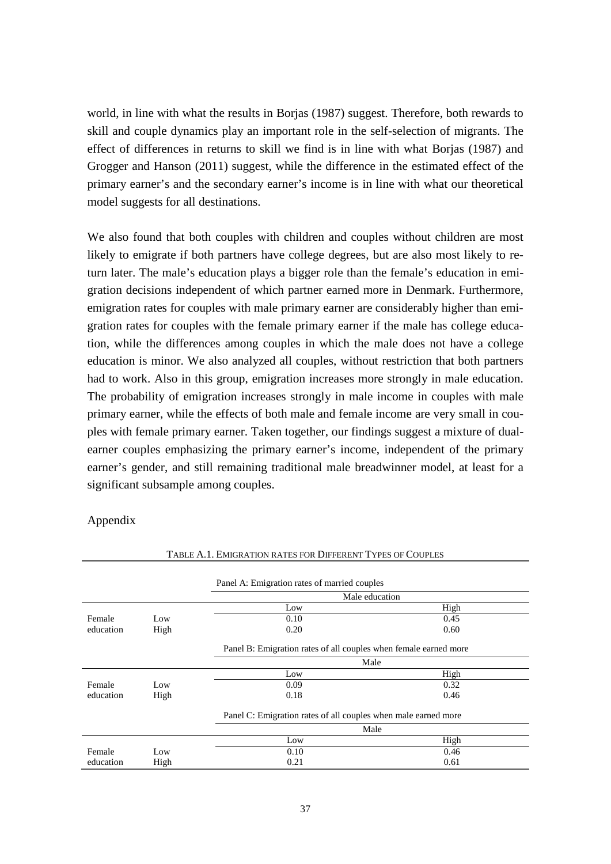world, in line with what the results in Borjas (1987) suggest. Therefore, both rewards to skill and couple dynamics play an important role in the self-selection of migrants. The effect of differences in returns to skill we find is in line with what Borjas (1987) and Grogger and Hanson (2011) suggest, while the difference in the estimated effect of the primary earner's and the secondary earner's income is in line with what our theoretical model suggests for all destinations.

We also found that both couples with children and couples without children are most likely to emigrate if both partners have college degrees, but are also most likely to return later. The male's education plays a bigger role than the female's education in emigration decisions independent of which partner earned more in Denmark. Furthermore, emigration rates for couples with male primary earner are considerably higher than emigration rates for couples with the female primary earner if the male has college education, while the differences among couples in which the male does not have a college education is minor. We also analyzed all couples, without restriction that both partners had to work. Also in this group, emigration increases more strongly in male education. The probability of emigration increases strongly in male income in couples with male primary earner, while the effects of both male and female income are very small in couples with female primary earner. Taken together, our findings suggest a mixture of dualearner couples emphasizing the primary earner's income, independent of the primary earner's gender, and still remaining traditional male breadwinner model, at least for a significant subsample among couples.

Appendix

|           |      | Panel A: Emigration rates of married couples                     |      |
|-----------|------|------------------------------------------------------------------|------|
|           |      | Male education                                                   |      |
|           |      | Low                                                              | High |
| Female    | Low  | 0.10                                                             | 0.45 |
| education | High | 0.20                                                             | 0.60 |
|           |      | Panel B: Emigration rates of all couples when female earned more |      |
|           |      | Male                                                             |      |
|           |      | Low                                                              | High |
| Female    | Low  | 0.09                                                             | 0.32 |
| education | High | 0.18                                                             | 0.46 |
|           |      | Panel C: Emigration rates of all couples when male earned more   |      |
|           |      | Male                                                             |      |
|           |      | Low                                                              | High |
| Female    | Low  | 0.10                                                             | 0.46 |
| education | High | 0.21                                                             | 0.61 |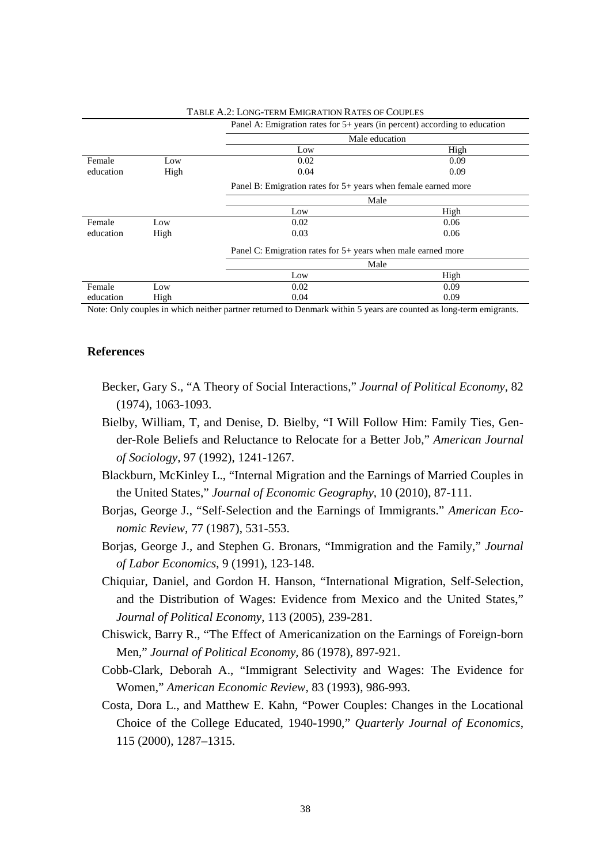|           |                                                                  | Panel A: Emigration rates for 5+ years (in percent) according to education |      |  |
|-----------|------------------------------------------------------------------|----------------------------------------------------------------------------|------|--|
|           |                                                                  | Male education                                                             |      |  |
|           |                                                                  | Low                                                                        | High |  |
| Female    | Low                                                              | 0.02                                                                       | 0.09 |  |
| education | High                                                             | 0.04                                                                       | 0.09 |  |
|           | Panel B: Emigration rates for $5+$ years when female earned more |                                                                            |      |  |
|           |                                                                  | Male                                                                       |      |  |
|           |                                                                  | Low                                                                        | High |  |
| Female    | Low                                                              | 0.02                                                                       | 0.06 |  |
| education | High                                                             | 0.03                                                                       | 0.06 |  |
|           |                                                                  | Panel C: Emigration rates for 5+ years when male earned more<br>Male       |      |  |
|           |                                                                  |                                                                            |      |  |
|           |                                                                  | Low                                                                        | High |  |
| Female    | Low                                                              | 0.02                                                                       | 0.09 |  |
| education | High                                                             | 0.04                                                                       | 0.09 |  |

TABLE A.2: LONG-TERM EMIGRATION RATES OF COUPLES

Note: Only couples in which neither partner returned to Denmark within 5 years are counted as long-term emigrants.

#### **References**

- Becker, Gary S., "A Theory of Social Interactions," *Journal of Political Economy,* 82 (1974), 1063-1093.
- Bielby, William, T, and Denise, D. Bielby, "I Will Follow Him: Family Ties, Gender-Role Beliefs and Reluctance to Relocate for a Better Job," *American Journal of Sociology,* 97 (1992), 1241-1267.
- Blackburn, McKinley L., "Internal Migration and the Earnings of Married Couples in the United States," *Journal of Economic Geography*, 10 (2010), 87-111.
- Borjas, George J., "Self-Selection and the Earnings of Immigrants." *American Economic Review,* 77 (1987), 531-553.
- Borjas, George J., and Stephen G. Bronars, "Immigration and the Family," *Journal of Labor Economics*, 9 (1991), 123-148.
- Chiquiar, Daniel, and Gordon H. Hanson, "International Migration, Self-Selection, and the Distribution of Wages: Evidence from Mexico and the United States," *Journal of Political Economy*, 113 (2005), 239-281.
- Chiswick, Barry R., "The Effect of Americanization on the Earnings of Foreign-born Men," *Journal of Political Economy,* 86 (1978), 897-921.
- Cobb-Clark, Deborah A., "Immigrant Selectivity and Wages: The Evidence for Women," *American Economic Review,* 83 (1993), 986-993.
- Costa, Dora L., and Matthew E. Kahn, "Power Couples: Changes in the Locational Choice of the College Educated, 1940-1990," *Quarterly Journal of Economics*, 115 (2000), 1287–1315.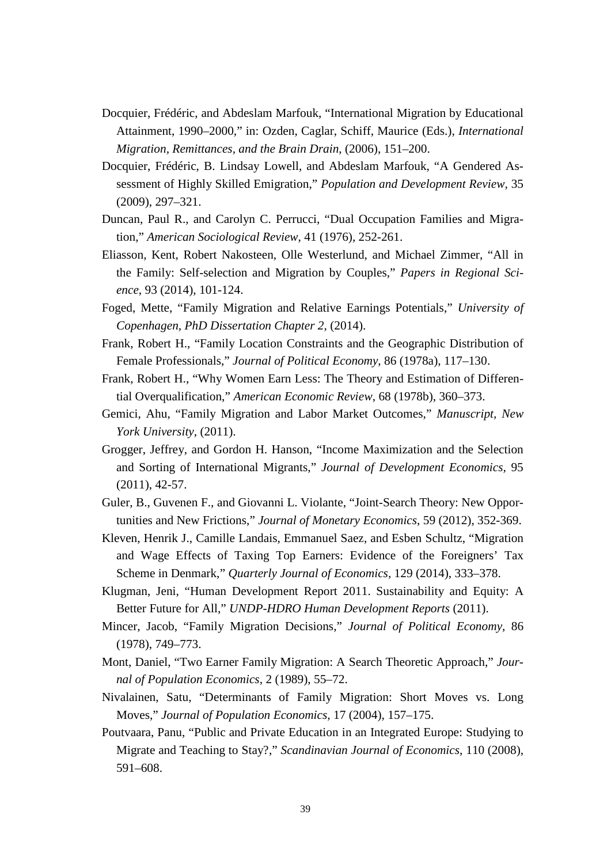- Docquier, Frédéric, and Abdeslam Marfouk, "International Migration by Educational Attainment, 1990–2000," in: Ozden, Caglar, Schiff, Maurice (Eds.), *International Migration, Remittances, and the Brain Drain*, (2006), 151–200.
- Docquier, Frédéric, B. Lindsay Lowell, and Abdeslam Marfouk, "A Gendered Assessment of Highly Skilled Emigration," *Population and Development Review,* 35 (2009), 297–321.
- Duncan, Paul R., and Carolyn C. Perrucci, "Dual Occupation Families and Migration," *American Sociological Review*, 41 (1976), 252-261.
- Eliasson, Kent, Robert Nakosteen, Olle Westerlund, and Michael Zimmer, "All in the Family: Self-selection and Migration by Couples," *Papers in Regional Science*, 93 (2014), 101-124.
- Foged, Mette, "Family Migration and Relative Earnings Potentials," *University of Copenhagen, PhD Dissertation Chapter 2,* (2014).
- Frank, Robert H., "Family Location Constraints and the Geographic Distribution of Female Professionals," *Journal of Political Economy*, 86 (1978a), 117–130.
- Frank, Robert H., "Why Women Earn Less: The Theory and Estimation of Differential Overqualification," *American Economic Review*, 68 (1978b), 360–373.
- Gemici, Ahu, "Family Migration and Labor Market Outcomes," *Manuscript, New York University*, (2011).
- Grogger, Jeffrey, and Gordon H. Hanson, "Income Maximization and the Selection and Sorting of International Migrants," *Journal of Development Economics,* 95 (2011), 42-57.
- Guler, B., Guvenen F., and Giovanni L. Violante, "Joint-Search Theory: New Opportunities and New Frictions," *Journal of Monetary Economics*, 59 (2012), 352-369.
- Kleven, Henrik J., Camille Landais, Emmanuel Saez, and Esben Schultz, "Migration and Wage Effects of Taxing Top Earners: Evidence of the Foreigners' Tax Scheme in Denmark," *Quarterly Journal of Economics,* 129 (2014), 333–378.
- Klugman, Jeni, "Human Development Report 2011. Sustainability and Equity: A Better Future for All," *UNDP-HDRO Human Development Reports* (2011).
- Mincer, Jacob, "Family Migration Decisions," *Journal of Political Economy*, 86 (1978), 749–773.
- Mont, Daniel, "Two Earner Family Migration: A Search Theoretic Approach," *Journal of Population Economics,* 2 (1989), 55–72.
- Nivalainen, Satu, "Determinants of Family Migration: Short Moves vs. Long Moves," *Journal of Population Economics,* 17 (2004), 157–175.
- Poutvaara, Panu, "Public and Private Education in an Integrated Europe: Studying to Migrate and Teaching to Stay?," *Scandinavian Journal of Economics*, 110 (2008), 591–608.